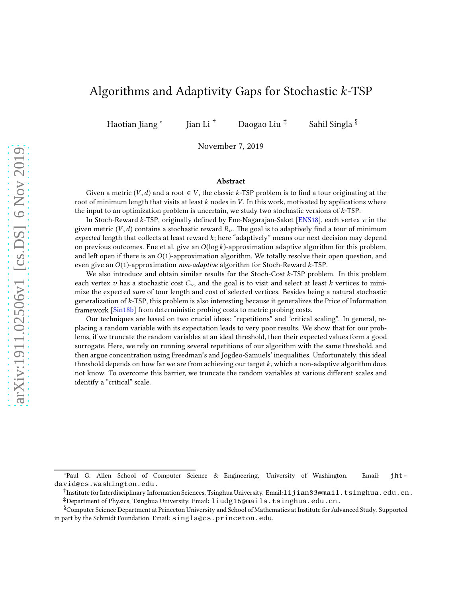# Algorithms and Adaptivity Gaps for Stochastic k-TSP

Haotian Jiang <sup>∗</sup>

Jian Li<sup>†</sup> Daogao Liu<sup>‡</sup> Sahil Singla §

November 7, 2019

#### Abstract

Given a metric  $(V, d)$  and a root  $\in V$ , the classic k-TSP problem is to find a tour originating at the root of minimum length that visits at least  $k$  nodes in  $V$ . In this work, motivated by applications where the input to an optimization problem is uncertain, we study two stochastic versions of  $k$ -TSP.

In Stoch-Reward k-TSP, originally defined by Ene-Nagarajan-Saket [\[ENS18\]](#page-23-0), each vertex  $v$  in the given metric  $(V, d)$  contains a stochastic reward  $R_v$ . The goal is to adaptively find a tour of minimum expected length that collects at least reward  $k$ ; here "adaptively" means our next decision may depend on previous outcomes. Ene et al. give an  $O(\log k)$ -approximation adaptive algorithm for this problem, and left open if there is an  $O(1)$ -approximation algorithm. We totally resolve their open question, and even give an  $O(1)$ -approximation non-adaptive algorithm for Stoch-Reward k-TSP.

We also introduce and obtain similar results for the Stoch-Cost k-TSP problem. In this problem each vertex v has a stochastic cost  $C_v$ , and the goal is to visit and select at least k vertices to minimize the expected sum of tour length and cost of selected vertices. Besides being a natural stochastic generalization of k-TSP, this problem is also interesting because it generalizes the Price of Information framework [\[Sin18b\]](#page-24-0) from deterministic probing costs to metric probing costs.

Our techniques are based on two crucial ideas: "repetitions" and "critical scaling". In general, replacing a random variable with its expectation leads to very poor results. We show that for our problems, if we truncate the random variables at an ideal threshold, then their expected values form a good surrogate. Here, we rely on running several repetitions of our algorithm with the same threshold, and then argue concentration using Freedman's and Jogdeo-Samuels' inequalities. Unfortunately, this ideal threshold depends on how far we are from achieving our target  $k$ , which a non-adaptive algorithm does not know. To overcome this barrier, we truncate the random variables at various different scales and identify a "critical" scale.

<sup>∗</sup>Paul G. Allen School of Computer Science & Engineering, University of Washington. Email: jhtdavid@cs.washington.edu.

<sup>†</sup> Institute for Interdisciplinary Information Sciences, Tsinghua University. Email:lijian83@mail.tsinghua.edu.cn.

<sup>‡</sup>Department of Physics, Tsinghua University. Email: liudg16@mails.tsinghua.edu.cn.

<sup>§</sup>Computer Science Department at Princeton University and School of Mathematics at Institute for Advanced Study. Supported in part by the Schmidt Foundation. Email: singla@cs.princeton.edu.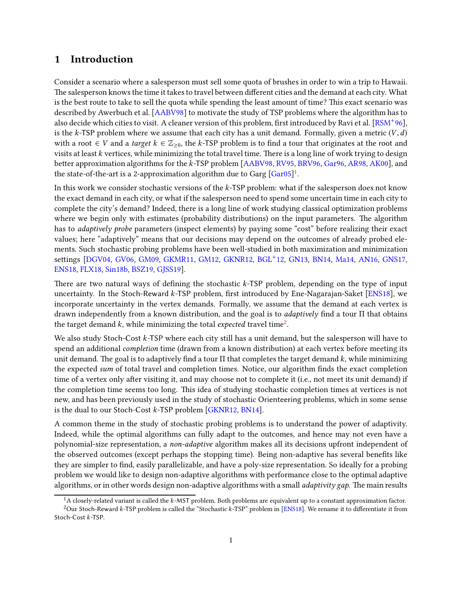## 1 Introduction

Consider a scenario where a salesperson must sell some quota of brushes in order to win a trip to Hawaii. The salesperson knows the time it takes to travel between different cities and the demand at each city. What is the best route to take to sell the quota while spending the least amount of time? This exact scenario was described by Awerbuch et al. [\[AABV98\]](#page-23-1) to motivate the study of TSP problems where the algorithm has to also decide which cities to visit. A cleaner version of this problem, first introduced by Ravi et al. [\[RSM](#page-24-1)<sup>+</sup> 96], is the k-TSP problem where we assume that each city has a unit demand. Formally, given a metric  $(V, d)$ with a root  $\in V$  and a target  $k \in \mathbb{Z}_{\geq 0}$ , the k-TSP problem is to find a tour that originates at the root and visits at least k vertices, while minimizing the total travel time. There is a long line of work trying to design better approximation algorithms for the  $k$ -TSP problem [\[AABV98,](#page-23-1) [RV95,](#page-24-2) [BRV96,](#page-23-2) [Gar96,](#page-23-3) [AR98,](#page-23-4) [AK00\]](#page-23-5), and the state-of-the-art is a 2-approximation algorithm due to Garg  $[Gar05]^1$  $[Gar05]^1$ .

In this work we consider stochastic versions of the k-TSP problem: what if the salesperson does not know the exact demand in each city, or what if the salesperson need to spend some uncertain time in each city to complete the city's demand? Indeed, there is a long line of work studying classical optimization problems where we begin only with estimates (probability distributions) on the input parameters. The algorithm has to *adaptively probe* parameters (inspect elements) by paying some "cost" before realizing their exact values; here "adaptively" means that our decisions may depend on the outcomes of already probed elements. Such stochastic probing problems have been well-studied in both maximization and minimization settings [\[DGV04,](#page-23-7) [GV06,](#page-24-3) [GM09,](#page-24-4) [GKMR11,](#page-24-5) [GM12,](#page-24-6) [GKNR12,](#page-24-7) [BGL](#page-23-8)<sup>+</sup>12, [GN13,](#page-24-8) [BN14,](#page-23-9) [Ma14,](#page-24-9) [AN16,](#page-23-10) [GNS17,](#page-24-10) [ENS18,](#page-23-0) [FLX18,](#page-23-11) [Sin18b,](#page-24-0) [BSZ19,](#page-23-12) [GJSS19\]](#page-23-13).

There are two natural ways of defining the stochastic  $k$ -TSP problem, depending on the type of input uncertainty. In the Stoch-Reward k-TSP problem, first introduced by Ene-Nagarajan-Saket [\[ENS18\]](#page-23-0), we incorporate uncertainty in the vertex demands. Formally, we assume that the demand at each vertex is drawn independently from a known distribution, and the goal is to adaptively find a tour Π that obtains the target demand  $k$ , while minimizing the total  $expected$  travel time $^2$  $^2$ .

We also study Stoch-Cost k-TSP where each city still has a unit demand, but the salesperson will have to spend an additional completion time (drawn from a known distribution) at each vertex before meeting its unit demand. The goal is to adaptively find a tour  $\Pi$  that completes the target demand k, while minimizing the expected sum of total travel and completion times. Notice, our algorithm finds the exact completion time of a vertex only after visiting it, and may choose not to complete it (i.e., not meet its unit demand) if the completion time seems too long. This idea of studying stochastic completion times at vertices is not new, and has been previously used in the study of stochastic Orienteering problems, which in some sense is the dual to our Stoch-Cost k-TSP problem [\[GKNR12,](#page-24-7) [BN14\]](#page-23-9).

A common theme in the study of stochastic probing problems is to understand the power of adaptivity. Indeed, while the optimal algorithms can fully adapt to the outcomes, and hence may not even have a polynomial-size representation, a non-adaptive algorithm makes all its decisions upfront independent of the observed outcomes (except perhaps the stopping time). Being non-adaptive has several benefits like they are simpler to find, easily parallelizable, and have a poly-size representation. So ideally for a probing problem we would like to design non-adaptive algorithms with performance close to the optimal adaptive algorithms, or in other words design non-adaptive algorithms with a small *adaptivity gap*. The main results

<span id="page-1-0"></span> ${}^{1}$ A closely-related variant is called the k-MST problem. Both problems are equivalent up to a constant approximation factor. <sup>2</sup>Our Stoch-Reward k-TSP problem is called the "Stochastic k-TSP" problem in [\[ENS18\]](#page-23-0). We rename it to differentiate it from

<span id="page-1-1"></span>Stoch-Cost k-TSP.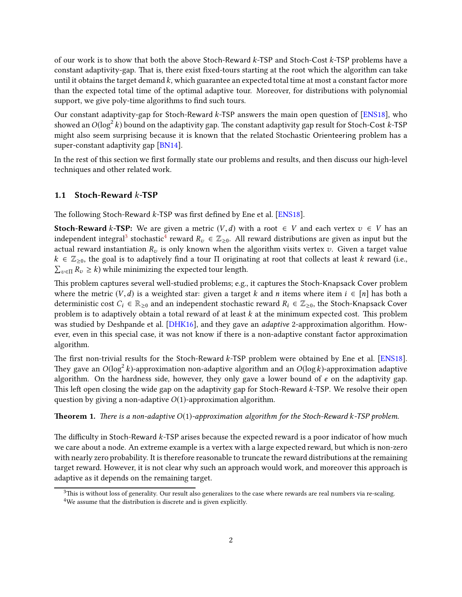of our work is to show that both the above Stoch-Reward k-TSP and Stoch-Cost k-TSP problems have a constant adaptivity-gap. That is, there exist fixed-tours starting at the root which the algorithm can take until it obtains the target demand  $k$ , which guarantee an expected total time at most a constant factor more than the expected total time of the optimal adaptive tour. Moreover, for distributions with polynomial support, we give poly-time algorithms to find such tours.

Our constant adaptivity-gap for Stoch-Reward k-TSP answers the main open question of [\[ENS18\]](#page-23-0), who showed an  $O(\log^2 k)$  bound on the adaptivity gap. The constant adaptivity gap result for Stoch-Cost  $k$ -TSP might also seem surprising because it is known that the related Stochastic Orienteering problem has a super-constant adaptivity gap [\[BN14\]](#page-23-9).

In the rest of this section we first formally state our problems and results, and then discuss our high-level techniques and other related work.

#### 1.1 Stoch-Reward k-TSP

The following Stoch-Reward  $k$ -TSP was first defined by Ene et al. [\[ENS18\]](#page-23-0).

**Stoch-Reward k-TSP:** We are given a metric  $(V, d)$  with a root  $\in V$  and each vertex  $v \in V$  has an independent integral<sup>[3](#page-2-0)</sup> stochastic<sup>[4](#page-2-1)</sup> reward  $R_v \in \mathbb{Z}_{\geq 0}$ . All reward distributions are given as input but the actual reward instantiation  $R_v$  is only known when the algorithm visits vertex v. Given a target value  $k \in \mathbb{Z}_{\geq 0}$ , the goal is to adaptively find a tour  $\Pi$  originating at root that collects at least k reward (i.e.,  $\sum_{v \in \Pi} R_v \ge k$ ) while minimizing the expected tour length.

This problem captures several well-studied problems; e.g., it captures the Stoch-Knapsack Cover problem where the metric  $(V, d)$  is a weighted star: given a target k and n items where item  $i \in [n]$  has both a deterministic cost  $C_i \in \mathbb{R}_{\geq 0}$  and an independent stochastic reward  $R_i \in \mathbb{Z}_{\geq 0}$ , the Stoch-Knapsack Cover problem is to adaptively obtain a total reward of at least  $k$  at the minimum expected cost. This problem was studied by Deshpande et al. [\[DHK16\]](#page-23-14), and they gave an *adaptive* 2-approximation algorithm. However, even in this special case, it was not know if there is a non-adaptive constant factor approximation algorithm.

The first non-trivial results for the Stoch-Reward k-TSP problem were obtained by Ene et al. [\[ENS18\]](#page-23-0). They gave an  $O(\log^2 k)$ -approximation non-adaptive algorithm and an  $O(\log k)$ -approximation adaptive algorithm. On the hardness side, however, they only gave a lower bound of  $e$  on the adaptivity gap. This left open closing the wide gap on the adaptivity gap for Stoch-Reward  $k$ -TSP. We resolve their open question by giving a non-adaptive  $O(1)$ -approximation algorithm.

#### <span id="page-2-2"></span>**Theorem 1.** There is a non-adaptive  $O(1)$ -approximation algorithm for the Stoch-Reward k-TSP problem.

The difficulty in Stoch-Reward  $k$ -TSP arises because the expected reward is a poor indicator of how much we care about a node. An extreme example is a vertex with a large expected reward, but which is non-zero with nearly zero probability. It is therefore reasonable to truncate the reward distributions at the remaining target reward. However, it is not clear why such an approach would work, and moreover this approach is adaptive as it depends on the remaining target.

<span id="page-2-1"></span><span id="page-2-0"></span> $3$ This is without loss of generality. Our result also generalizes to the case where rewards are real numbers via re-scaling. <sup>4</sup>We assume that the distribution is discrete and is given explicitly.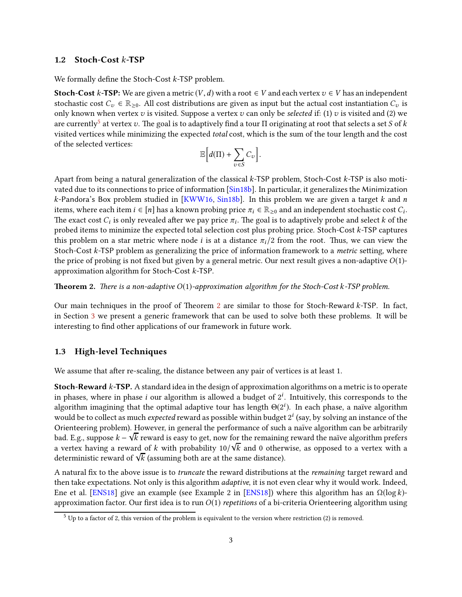#### 1.2 Stoch-Cost k-TSP

We formally define the Stoch-Cost  $k$ -TSP problem.

**Stoch-Cost k-TSP:** We are given a metric  $(V, d)$  with a root ∈ V and each vertex  $v \in V$  has an independent stochastic cost  $C_v \in \mathbb{R}_{\geq 0}$ . All cost distributions are given as input but the actual cost instantiation  $C_v$  is only known when vertex  $v$  is visited. Suppose a vertex  $v$  can only be selected if: (1)  $v$  is visited and (2) we are currently $^5$  $^5$  at vertex  $v.$  The goal is to adaptively find a tour  $\Pi$  originating at root that selects a set  $S$  of  $k$ visited vertices while minimizing the expected total cost, which is the sum of the tour length and the cost of the selected vertices:

$$
\mathbb{E}\Big[d(\Pi)+\sum_{v\in S}C_v\Big].
$$

Apart from being a natural generalization of the classical k-TSP problem, Stoch-Cost k-TSP is also motivated due to its connections to price of information [\[Sin18b\]](#page-24-0). In particular, it generalizes the Minimization  $k$ -Pandora's Box problem studied in [\[KWW16,](#page-24-11) [Sin18b\]](#page-24-0). In this problem we are given a target  $k$  and  $n$ items, where each item  $i \in [n]$  has a known probing price  $\pi_i \in \mathbb{R}_{\geq 0}$  and an independent stochastic cost  $C_i$ . The exact cost  $C_i$  is only revealed after we pay price  $\pi_i.$  The goal is to adaptively probe and select  $k$  of the probed items to minimize the expected total selection cost plus probing price. Stoch-Cost k-TSP captures this problem on a star metric where node *i* is at a distance  $\pi_i/2$  from the root. Thus, we can view the Stoch-Cost  $k$ -TSP problem as generalizing the price of information framework to a *metric* setting, where the price of probing is not fixed but given by a general metric. Our next result gives a non-adaptive  $O(1)$ approximation algorithm for Stoch-Cost k-TSP.

<span id="page-3-1"></span>**Theorem 2.** There is a non-adaptive  $O(1)$ -approximation algorithm for the Stoch-Cost k-TSP problem.

Our main techniques in the proof of Theorem [2](#page-3-1) are similar to those for Stoch-Reward  $k$ -TSP. In fact, in Section [3](#page-6-0) we present a generic framework that can be used to solve both these problems. It will be interesting to find other applications of our framework in future work.

#### 1.3 High-level Techniques

We assume that after re-scaling, the distance between any pair of vertices is at least 1.

Stoch-Reward k-TSP. A standard idea in the design of approximation algorithms on a metric is to operate in phases, where in phase  $i$  our algorithm is allowed a budget of  $2^i$ . Intuitively, this corresponds to the algorithm imagining that the optimal adaptive tour has length  $\Theta(2^i)$ . In each phase, a naïve algorithm would be to collect as much *expected* reward as possible within budget  $2^i$  (say, by solving an instance of the Orienteering problem). However, in general the performance of such a naïve algorithm can be arbitrarily bad. E.g., suppose k − √ k reward is easy to get, now for the remaining reward the na¨ıve algorithm prefers a vertex having a reward of k with probability  $10/\sqrt{k}$  and 0 otherwise, as opposed to a vertex with a deterministic reward of  $\sqrt{k}$  (assuming both are at the same distance).

A natural fix to the above issue is to *truncate* the reward distributions at the *remaining* target reward and then take expectations. Not only is this algorithm *adaptive*, it is not even clear why it would work. Indeed, Ene et al. [\[ENS18\]](#page-23-0) give an example (see Example 2 in [ENS18]) where this algorithm has an  $Ω(log k)$ approximation factor. Our first idea is to run  $O(1)$  repetitions of a bi-criteria Orienteering algorithm using

<span id="page-3-0"></span> $5$  Up to a factor of 2, this version of the problem is equivalent to the version where restriction (2) is removed.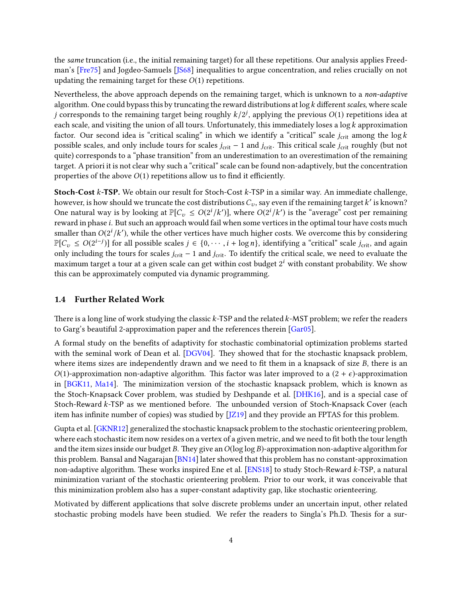the same truncation (i.e., the initial remaining target) for all these repetitions. Our analysis applies Freedman's [\[Fre75\]](#page-23-15) and Jogdeo-Samuels [\[JS68\]](#page-24-12) inequalities to argue concentration, and relies crucially on not updating the remaining target for these  $O(1)$  repetitions.

Nevertheless, the above approach depends on the remaining target, which is unknown to a non-adaptive algorithm. One could bypass this by truncating the reward distributions at  $\log k$  different scales, where scale *j* corresponds to the remaining target being roughly  $k/2^j$ , applying the previous  $O(1)$  repetitions idea at each scale, and visiting the union of all tours. Unfortunately, this immediately loses a log  $k$  approximation factor. Our second idea is "critical scaling" in which we identify a "critical" scale  $j_{\text{crit}}$  among the log k possible scales, and only include tours for scales  $j_{\text{crit}} - 1$  and  $j_{\text{crit}}$ . This critical scale  $j_{\text{crit}}$  roughly (but not quite) corresponds to a "phase transition" from an underestimation to an overestimation of the remaining target. A priori it is not clear why such a "critical" scale can be found non-adaptively, but the concentration properties of the above  $O(1)$  repetitions allow us to find it efficiently.

Stoch-Cost k-TSP. We obtain our result for Stoch-Cost k-TSP in a similar way. An immediate challenge, however, is how should we truncate the cost distributions  $C_v$ , say even if the remaining target  $k^\prime$  is known? One natural way is by looking at  $\mathbb{P}[C_v \le O(2^i/k')]$ , where  $O(2^i/k')$  is the "average" cost per remaining reward in phase i. But such an approach would fail when some vertices in the optimal tour have costs much smaller than  $O(2^{i}/k')$ , while the other vertices have much higher costs. We overcome this by considering  $\mathbb{P}[C_v \le O(2^{i-j})]$  for all possible scales  $j \in \{0, \dots, i + \log n\}$ , identifying a "critical" scale  $j_{\text{crit}}$ , and again only including the tours for scales  $j_{\text{crit}}$  − 1 and  $j_{\text{crit}}$ . To identify the critical scale, we need to evaluate the maximum target a tour at a given scale can get within cost budget  $2^i$  with constant probability. We show this can be approximately computed via dynamic programming.

### 1.4 Further Related Work

There is a long line of work studying the classic  $k$ -TSP and the related  $k$ -MST problem; we refer the readers to Garg's beautiful 2-approximation paper and the references therein [\[Gar05\]](#page-23-6).

A formal study on the benefits of adaptivity for stochastic combinatorial optimization problems started with the seminal work of Dean et al. [\[DGV04\]](#page-23-7). They showed that for the stochastic knapsack problem, where items sizes are independently drawn and we need to fit them in a knapsack of size B, there is an O(1)-approximation non-adaptive algorithm. This factor was later improved to a  $(2 + \epsilon)$ -approximation in  $[BGK11, Ma14]$  $[BGK11, Ma14]$ . The minimization version of the stochastic knapsack problem, which is known as the Stoch-Knapsack Cover problem, was studied by Deshpande et al. [\[DHK16\]](#page-23-14), and is a special case of Stoch-Reward  $k$ -TSP as we mentioned before. The unbounded version of Stoch-Knapsack Cover (each item has infinite number of copies) was studied by [\[JZ19\]](#page-24-13) and they provide an FPTAS for this problem.

Gupta et al. [\[GKNR12\]](#page-24-7) generalized the stochastic knapsack problem to the stochastic orienteering problem, where each stochastic item now resides on a vertex of a given metric, and we need to fit both the tour length and the item sizes inside our budget B. They give an  $O(\log \log B)$ -approximation non-adaptive algorithm for this problem. Bansal and Nagarajan [\[BN14\]](#page-23-9) later showed that this problem has no constant-approximation non-adaptive algorithm. These works inspired Ene et al.  $[ENS18]$  to study Stoch-Reward k-TSP, a natural minimization variant of the stochastic orienteering problem. Prior to our work, it was conceivable that this minimization problem also has a super-constant adaptivity gap, like stochastic orienteering.

Motivated by different applications that solve discrete problems under an uncertain input, other related stochastic probing models have been studied. We refer the readers to Singla's Ph.D. Thesis for a sur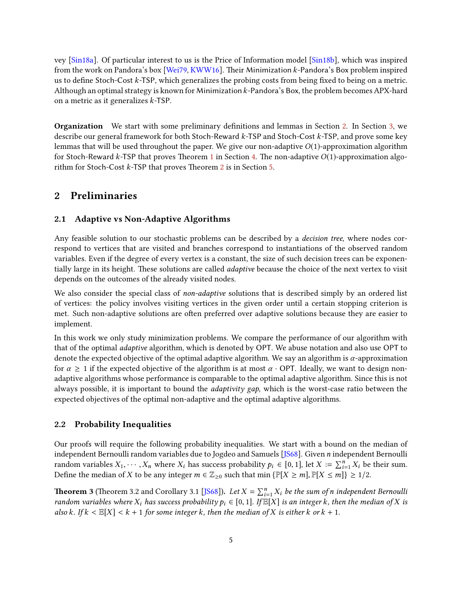vey [\[Sin18a\]](#page-24-14). Of particular interest to us is the Price of Information model [\[Sin18b\]](#page-24-0), which was inspired from the work on Pandora's box [\[Wei79,](#page-24-15) [KWW16\]](#page-24-11). Their Minimization  $k$ -Pandora's Box problem inspired us to define Stoch-Cost k-TSP, which generalizes the probing costs from being fixed to being on a metric. Although an optimal strategy is known for Minimization k-Pandora's Box, the problem becomes APX-hard on a metric as it generalizes k-TSP.

Organization We start with some preliminary definitions and lemmas in Section [2.](#page-5-0) In Section [3,](#page-6-0) we describe our general framework for both Stoch-Reward k-TSP and Stoch-Cost k-TSP, and prove some key lemmas that will be used throughout the paper. We give our non-adaptive  $O(1)$ -approximation algorithm for Stoch-Reward k-TSP that proves Theorem [1](#page-2-2) in Section [4.](#page-9-0) The non-adaptive  $O(1)$ -approximation algorithm for Stoch-Cost  $k$ -TSP that proves Theorem [2](#page-3-1) is in Section [5.](#page-13-0)

## <span id="page-5-0"></span>2 Preliminaries

#### 2.1 Adaptive vs Non-Adaptive Algorithms

Any feasible solution to our stochastic problems can be described by a decision tree, where nodes correspond to vertices that are visited and branches correspond to instantiations of the observed random variables. Even if the degree of every vertex is a constant, the size of such decision trees can be exponentially large in its height. These solutions are called *adaptive* because the choice of the next vertex to visit depends on the outcomes of the already visited nodes.

We also consider the special class of *non-adaptive* solutions that is described simply by an ordered list of vertices: the policy involves visiting vertices in the given order until a certain stopping criterion is met. Such non-adaptive solutions are often preferred over adaptive solutions because they are easier to implement.

In this work we only study minimization problems. We compare the performance of our algorithm with that of the optimal adaptive algorithm, which is denoted by OPT. We abuse notation and also use OPT to denote the expected objective of the optimal adaptive algorithm. We say an algorithm is  $\alpha$ -approximation for  $\alpha \geq 1$  if the expected objective of the algorithm is at most  $\alpha \cdot$  OPT. Ideally, we want to design nonadaptive algorithms whose performance is comparable to the optimal adaptive algorithm. Since this is not always possible, it is important to bound the *adaptivity gap*, which is the worst-case ratio between the expected objectives of the optimal non-adaptive and the optimal adaptive algorithms.

#### 2.2 Probability Inequalities

Our proofs will require the following probability inequalities. We start with a bound on the median of independent Bernoulli random variables due to Jogdeo and Samuels [\[JS68\]](#page-24-12). Given n independent Bernoulli random variables  $X_1, \dots, X_n$  where  $X_i$  has success probability  $p_i \in [0, 1]$ , let  $X := \sum_{i=1}^n X_i$  be their sum. Define the median of X to be any integer  $m \in \mathbb{Z}_{\geq 0}$  such that min  $\{\mathbb{P}[X \geq m], \mathbb{P}[X \leq m]\} \geq 1/2$ .

<span id="page-5-1"></span>**Theorem 3** (Theorem 3.2 and Corollary 3.1 [\[JS68\]](#page-24-12)). Let  $X = \sum_{i=1}^{n} X_i$  be the sum of n independent Bernoulli random variables where  $X_i$  has success probability  $p_i \in [0, 1]$ . If  $\mathbb{E}[X]$  is an integer k, then the median of X is also k. If  $k < \mathbb{E}[X] < k + 1$  for some integer k, then the median of X is either k or  $k + 1$ .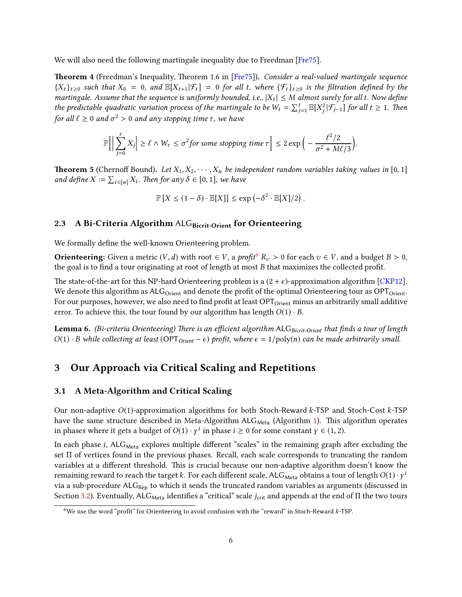We will also need the following martingale inequality due to Freedman [\[Fre75\]](#page-23-15).

<span id="page-6-2"></span>**Theorem 4** (Freedman's Inequality, Theorem 1.6 in [\[Fre75\]](#page-23-15)). Consider a real-valued martingale sequence  ${X_t}_{t\geq0}$  such that  $X_0 = 0$ , and  $\mathbb{E}[X_{t+1} | \mathcal{F}_t] = 0$  for all t, where  ${\{\mathcal{F}_t\}}_{t\geq0}$  is the filtration defined by the martingale. Assume that the sequence is uniformly bounded, i.e.,  $|X_t| \leq M$  almost surely for all t. Now define the predictable quadratic variation process of the martingale to be  $W_t = \sum_{j=1}^t \mathbb{E}[X_j^2 | \mathcal{F}_{j-1}]$  for all  $t \ge 1$ . Then for all  $\ell \geq 0$  and  $\sigma^2 > 0$  and any stopping time  $\tau$ , we have

$$
\mathbb{P}\Big[\Big|\sum_{j=0}^{\tau} X_j\Big| \geq \ell \wedge W_{\tau} \leq \sigma^2 for some stopping time \tau\Big] \leq 2 \exp\Big(-\frac{\ell^2/2}{\sigma^2 + M\ell/3}\Big).
$$

<span id="page-6-5"></span>**Theorem 5** (Chernoff Bound). Let  $X_1, X_2, \cdots, X_n$  be independent random variables taking values in [0, 1] and define  $X := \sum_{i \in [n]} X_i$ . Then for any  $\delta \in [0, 1]$ , we have

$$
\mathbb{P}[X \le (1-\delta) \cdot \mathbb{E}[X]] \le \exp(-\delta^2 \cdot \mathbb{E}[X]/2).
$$

### 2.3 A Bi-Criteria Algorithm ALG<sub>Bicrit-Orient</sub> for Orienteering

We formally define the well-known Orienteering problem.

**Orienteering:** Given a metric  $(V, d)$  with root  $\in V$ , a *profit*<sup>[6](#page-6-1)</sup>  $R_v > 0$  for each  $v \in V$ , and a budget  $B > 0$ , the goal is to find a tour originating at root of length at most B that maximizes the collected profit.

The state-of-the-art for this NP-hard Orienteering problem is a  $(2 + \epsilon)$ -approximation algorithm [\[CKP12\]](#page-23-17). We denote this algorithm as  $ALG<sub>Orient</sub>$  and denote the profit of the optimal Orienteering tour as  $OPT<sub>Orient</sub>$ . For our purposes, however, we also need to find profit at least OPT<sub>Orient</sub> minus an arbitrarily small additive error. To achieve this, the tour found by our algorithm has length  $O(1) \cdot B$ .

<span id="page-6-3"></span>Lemma 6. (Bi-criteria Orienteering) There is an efficient algorithm ALG Bicrit-Orient that finds a tour of length  $O(1) \cdot B$  while collecting at least  $(OPT_{Orient} - \epsilon)$  profit, where  $\epsilon = 1/\text{poly}(n)$  can be made arbitrarily small.

### <span id="page-6-4"></span><span id="page-6-0"></span>3 Our Approach via Critical Scaling and Repetitions

#### 3.1 A Meta-Algorithm and Critical Scaling

Our non-adaptive O(1)-approximation algorithms for both Stoch-Reward k-TSP and Stoch-Cost k-TSP have the same structure described in Meta-Algorithm ALG<sub>Meta</sub> (Algorithm [1\)](#page-7-0). This algorithm operates in phases where it gets a budget of  $O(1) \cdot \gamma^i$  in phase  $i \geq 0$  for some constant  $\gamma \in (1, 2)$ .

In each phase i,  $ALG<sub>Meta</sub>$  explores multiple different "scales" in the remaining graph after excluding the set Π of vertices found in the previous phases. Recall, each scale corresponds to truncating the random variables at a different threshold. This is crucial because our non-adaptive algorithm doesn't know the remaining reward to reach the target k. For each different scale, ALG $_{\text{Meta}}$  obtains a tour of length  $O(1) \cdot \gamma^i$ via a sub-procedure ALG<sub>Rep</sub> to which it sends the truncated random variables as arguments (discussed in Section [3.2\)](#page-7-1). Eventually, ALG<sub>Meta</sub> identifies a "critical" scale  $j_{\rm crit}$  and appends at the end of  $\Pi$  the two tours

<span id="page-6-1"></span><sup>6</sup>We use the word "profit" for Orienteering to avoid confusion with the "reward" in Stoch-Reward k-TSP.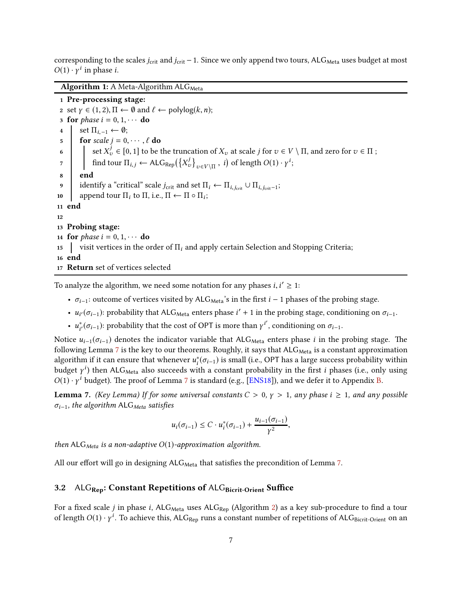corresponding to the scales  $j_{\text{crit}}$  and  $j_{\text{crit}}$  − 1. Since we only append two tours, ALG<sub>Meta</sub> uses budget at most  $O(1) \cdot \gamma^i$  in phase *i*.

<span id="page-7-0"></span>Algorithm 1: A Meta-Algorithm  $ALG<sub>Meta</sub>$ 

1 Pre-processing stage: 2 set  $\gamma \in (1, 2), \Pi \leftarrow \emptyset$  and  $\ell \leftarrow \text{polylog}(k, n);$ 3 for *phase*  $i = 0, 1, \cdots$  do 4 set  $\Pi_{i-1} \leftarrow \emptyset;$ 5 for scale  $j = 0, \dots, \ell$  do 6 set  $X_v^j \in [0, 1]$  to be the truncation of  $X_v$  at scale j for  $v \in V \setminus \Pi$ , and zero for  $v \in \Pi$ ; 7 find tour  $\Pi_{i,j} \leftarrow \mathsf{ALG}_{\mathsf{Rep}}(\left\{X_v^j\right\}_{v \in V \setminus \Pi}, i)$  of length  $O(1) \cdot \gamma^i;$ 8 end 9 identify a "critical" scale  $j_{\text{crit}}$  and set  $\Pi_i \leftarrow \Pi_{i,j_{\text{crit}}} \cup \Pi_{i,j_{\text{crit}}-1}$ ; 10 append tour  $\Pi_i$  to  $\Pi$ , i.e.,  $\Pi \leftarrow \Pi \circ \Pi_i$ ; 11 end 12 13 Probing stage: 14 for phase  $i = 0, 1, \cdots$  do 15 visit vertices in the order of  $\Pi_i$  and apply certain Selection and Stopping Criteria; 16 end 17 Return set of vertices selected

To analyze the algorithm, we need some notation for any phases  $i, i' \geq 1$ :

- $\sigma_{i-1}$ : outcome of vertices visited by ALG<sub>Meta</sub>'s in the first *i* − 1 phases of the probing stage.
- $u_{i'}(\sigma_{i-1})$ : probability that ALG<sub>Meta</sub> enters phase  $i' + 1$  in the probing stage, conditioning on  $\sigma_{i-1}$ .
- $u_{i'}^*(\sigma_{i-1})$ : probability that the cost of OPT is more than  $\gamma^{i'}$ , conditioning on  $\sigma_{i-1}$ .

Notice  $u_{i-1}(\sigma_{i-1})$  denotes the indicator variable that ALG<sub>Meta</sub> enters phase i in the probing stage. The following Lemma [7](#page-7-2) is the key to our theorems. Roughly, it says that  $ALG_{Meta}$  is a constant approximation algorithm if it can ensure that whenever  $u_i^*(\sigma_{i-1})$  is small (i.e., OPT has a large success probability within budget  $\gamma^i$ ) then ALG<sub>Meta</sub> also succeeds with a constant probability in the first *i* phases (i.e., only using  $O(1) \cdot \gamma^i$  budget). The proof of Lemma [7](#page-7-2) is standard (e.g., [\[ENS18\]](#page-23-0)), and we defer it to Appendix [B.](#page-21-0)

<span id="page-7-2"></span>**Lemma 7.** (Key Lemma) If for some universal constants  $C > 0$ ,  $\gamma > 1$ , any phase  $i \ge 1$ , and any possible  $\sigma_{i-1}$ , the algorithm ALG<sub>Meta</sub> satisfies

$$
u_i(\sigma_{i-1}) \leq C \cdot u_i^*(\sigma_{i-1}) + \frac{u_{i-1}(\sigma_{i-1})}{\gamma^2},
$$

then ALG<sub>Meta</sub> is a non-adaptive  $O(1)$ -approximation algorithm.

<span id="page-7-1"></span>All our effort will go in designing  $ALG_{Meta}$  that satisfies the precondition of Lemma [7.](#page-7-2)

#### 3.2 ALG<sub>Rep</sub>: Constant Repetitions of ALG<sub>Bicrit-Orient</sub> Suffice

For a fixed scale j in phase i, ALG<sub>Meta</sub> uses ALG<sub>Rep</sub> (Algorithm [2\)](#page-8-0) as a key sub-procedure to find a tour of length  $O(1) \cdot \gamma^i$ . To achieve this,  $\mathsf{ALG}_\mathsf{Rep}$  runs a constant number of repetitions of  $\mathsf{ALG}_\mathsf{Bicrit-Orient}$  on an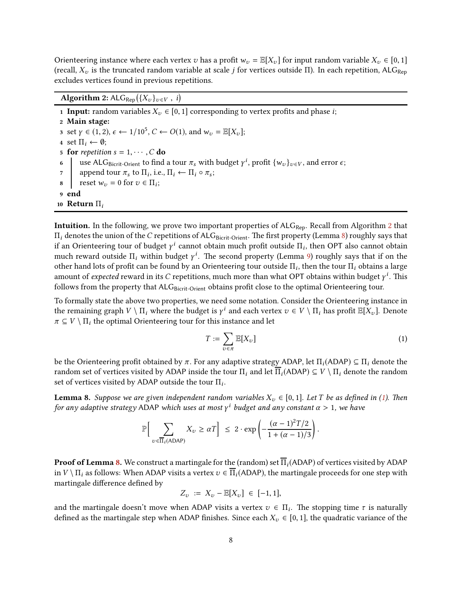Orienteering instance where each vertex v has a profit  $w_v = \mathbb{E}[X_v]$  for input random variable  $X_v \in [0, 1]$ (recall,  $X_v$  is the truncated random variable at scale j for vertices outside Π). In each repetition, ALG<sub>Rep</sub> excludes vertices found in previous repetitions.

<span id="page-8-0"></span>Algorithm 2:  $\mathsf{ALG}_{\mathsf{Rep}}\big(\{X_v\}_{v\in V},\ i\big)$ 

1 Input: random variables  $X_v \in [0, 1]$  corresponding to vertex profits and phase *i*; 2 Main stage: 3 set  $\gamma \in (1, 2), \epsilon \leftarrow 1/10^5, C \leftarrow O(1)$ , and  $w_v = \mathbb{E}[X_v]$ ; 4 set  $\Pi_i \leftarrow \emptyset$ ; 5 for repetition  $s = 1, \dots, C$  do<br>6 use ALG<sub>Bicrit-Orient</sub> to find 6 use ALG<sub>Bicrit-Orient</sub> to find a tour  $\pi_s$  with budget  $\gamma^i$ , profit  $\{w_v\}_{v \in V}$ , and error  $\epsilon$ ;  $\tau$  append tour  $\pi_s$  to  $\Pi_i$ , i.e.,  $\Pi_i \leftarrow \Pi_i \circ \pi_s$ ; 8  $\Big|$  reset  $w_v = 0$  for  $v \in \Pi_i$ ; 9 end 10 Return  $\Pi_i$ 

**Intuition.** In the following, we prove two important properties of  $ALG_{\text{Rep}}$ . Recall from Algorithm [2](#page-8-0) that  $\Pi_i$  denotes the union of the C repetitions of ALGBicrit-Orient. The first property (Lemma [8\)](#page-8-1) roughly says that if an Orienteering tour of budget  $\gamma^i$  cannot obtain much profit outside  $\Pi_i$ , then OPT also cannot obtain much reward outside  $\Pi_i$  within budget  $\gamma^i$ . The second property (Lemma [9\)](#page-9-1) roughly says that if on the other hand lots of profit can be found by an Orienteering tour outside  $\Pi_i$ , then the tour  $\Pi_i$  obtains a large amount of *expected* reward in its  $C$  repetitions, much more than what OPT obtains within budget  $\gamma^i$ . This follows from the property that ALG<sub>Bicrit-Orient</sub> obtains profit close to the optimal Orienteering tour.

To formally state the above two properties, we need some notation. Consider the Orienteering instance in the remaining graph  $V \setminus \Pi_i$  where the budget is  $\gamma^i$  and each vertex  $v \in V \setminus \Pi_i$  has profit  $\mathbb{E}[X_v]$ . Denote  $\pi \subseteq V \setminus \Pi_i$  the optimal Orienteering tour for this instance and let

<span id="page-8-2"></span>
$$
T := \sum_{v \in \pi} \mathbb{E}[X_v]
$$
 (1)

be the Orienteering profit obtained by  $\pi$ . For any adaptive strategy ADAP, let  $\Pi_i(ADAP) \subseteq \Pi_i$  denote the random set of vertices visited by ADAP inside the tour  $\Pi_i$  and let  $\overline{\Pi}_i$ (ADAP)  $\subseteq V \setminus \Pi_i$  denote the random set of vertices visited by ADAP outside the tour  $\Pi_i$ .

<span id="page-8-1"></span>**Lemma 8.** Suppose we are given independent random variables  $X_v \in [0, 1]$ . Let T be as defined in [\(1\)](#page-8-2). Then for any adaptive strategy ADAP which uses at most  $\gamma^i$  budget and any constant  $\alpha > 1$ , we have

$$
\mathbb{P}\Big[\sum_{v \in \overline{\Pi}_i(\text{ADAP})} X_v \ge \alpha T\Big] \le 2 \cdot \exp\left(-\frac{(\alpha - 1)^2 T/2}{1 + (\alpha - 1)/3}\right).
$$

**Proof of Lemma [8.](#page-8-1)** We construct a martingale for the (random) set  $\Pi_i$ (ADAP) of vertices visited by ADAP in  $V \setminus \Pi_i$  as follows: When ADAP visits a vertex  $v \in \overline{\Pi}_i$  (ADAP), the martingale proceeds for one step with martingale difference defined by

$$
Z_v := X_v - \mathbb{E}[X_v] \in [-1, 1],
$$

and the martingale doesn't move when ADAP visits a vertex  $v \in \Pi_i$ . The stopping time  $\tau$  is naturally defined as the martingale step when ADAP finishes. Since each  $X_v \in [0, 1]$ , the quadratic variance of the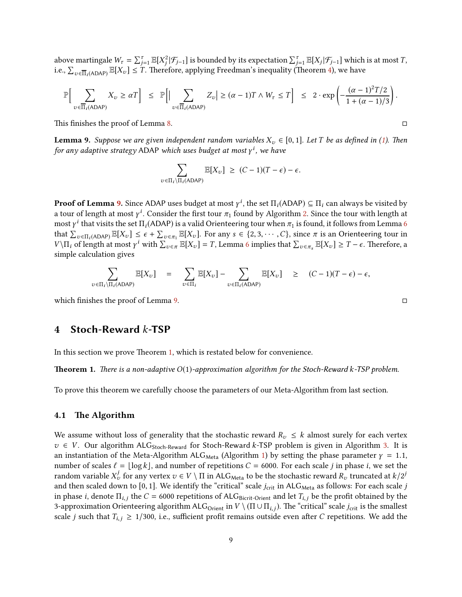above martingale  $W_{\tau} = \sum_{j=1}^{\tau} \mathbb{E}[X_j^2 | \mathcal{F}_{j-1}]$  is bounded by its expectation  $\sum_{j=1}^{\tau} \mathbb{E}[X_j | \mathcal{F}_{j-1}]$  which is at most  $T$ , i.e.,  $\sum_{v \in \overline{\Pi}_i(A\mathsf{DAP})} \mathbb{E}[X_v] \leq T$ . Therefore, applying Freedman's inequality (Theorem [4\)](#page-6-2), we have

$$
\mathbb{P}\Big[\sum_{v\in\overline{\Pi}_i(\text{ADAP})} X_v \geq \alpha T\Big] \leq \mathbb{P}\Big[\Big|\sum_{v\in\overline{\Pi}_i(\text{ADAP})} Z_v\Big| \geq (\alpha-1)T \wedge W_{\tau} \leq T\Big] \leq 2 \cdot \exp\left(-\frac{(\alpha-1)^2 T/2}{1+(\alpha-1)/3}\right).
$$

This finishes the proof of Lemma [8.](#page-8-1)  $\Box$ 

<span id="page-9-1"></span>**Lemma 9.** Suppose we are given independent random variables  $X_v \in [0, 1]$ . Let T be as defined in [\(1\)](#page-8-2). Then for any adaptive strategy ADAP which uses budget at most  $\gamma^i$ , we have

$$
\sum_{v \in \Pi_i \setminus \Pi_i(\text{ADAP})} \mathbb{E}[X_v] \geq (C-1)(T-\epsilon) - \epsilon.
$$

**Proof of Lemma [9.](#page-9-1)** Since ADAP uses budget at most  $\gamma^i$ , the set  $\Pi_i(ADAP) \subseteq \Pi_i$  can always be visited by a tour of length at most  $\gamma^i$ . Consider the first tour  $\pi_1$  found by Algorithm [2.](#page-8-0) Since the tour with length at most  $\gamma^i$  that visits the set  $\Pi_i(A\textsf{D}\textsf{A}\textsf{P})$  is a valid Orienteering tour when  $\pi_1$  is found, it follows from Lemma [6](#page-6-3) that  $\sum_{v \in \Pi_i(A\text{DAP})} \mathbb{E}[X_v] \leq \epsilon + \sum_{v \in \pi_1} \mathbb{E}[X_v]$ . For any  $s \in \{2, 3, \cdots, C\}$ , since  $\pi$  is an Orienteering tour in  $V\setminus\Pi_i$  of length at most γ<sup>*i*</sup> with  $\sum_{v \in π} \mathbb{E}[X_v] = T$ , Lemma [6](#page-6-3) implies that  $\sum_{v \in π_s} \mathbb{E}[X_v] \ge T - \epsilon$ . Therefore, a simple calculation gives

$$
\sum_{v \in \Pi_i \backslash \Pi_i(\mathrm{ADAP})} \mathbb{E}[X_v] = \sum_{v \in \Pi_i} \mathbb{E}[X_v] - \sum_{v \in \Pi_i(\mathrm{ADAP})} \mathbb{E}[X_v] \geq (C-1)(T-\epsilon) - \epsilon,
$$

<span id="page-9-0"></span>which finishes the proof of Lemma [9.](#page-9-1)

## 4 Stoch-Reward k-TSP

In this section we prove Theorem [1,](#page-2-2) which is restated below for convenience.

**Theorem 1.** There is a non-adaptive  $O(1)$ -approximation algorithm for the Stoch-Reward k-TSP problem.

To prove this theorem we carefully choose the parameters of our Meta-Algorithm from last section.

#### 4.1 The Algorithm

We assume without loss of generality that the stochastic reward  $R_v \leq k$  almost surely for each vertex  $v \in V$ . Our algorithm ALG<sub>Stoch-Reward</sub> for Stoch-Reward k-TSP problem is given in Algorithm [3.](#page-10-0) It is an instantiation of the Meta-Algorithm ALG<sub>Meta</sub> (Algorithm [1\)](#page-7-0) by setting the phase parameter  $\gamma = 1.1$ , number of scales  $\ell = \lfloor \log k \rfloor$ , and number of repetitions  $C = 6000$ . For each scale j in phase i, we set the random variable  $X_v^j$  for any vertex  $v \in V \setminus \Pi$  in ALG<sub>Meta</sub> to be the stochastic reward  $R_v$  truncated at  $k/2^j$ and then scaled down to [0, 1]. We identify the "critical" scale  $j_{\text{crit}}$  in ALG<sub>Meta</sub> as follows: For each scale  $j$ in phase *i*, denote  $\Pi_{i,j}$  the  $C = 6000$  repetitions of ALG<sub>Bicrit-Orient</sub> and let  $T_{i,j}$  be the profit obtained by the 3-approximation Orienteering algorithm ALG<sub>Orient</sub> in  $V \setminus (\Pi \cup \Pi_{i,j})$ . The "critical" scale *j*<sub>crit</sub> is the smallest scale j such that  $T_{i,j} \geq 1/300$ , i.e., sufficient profit remains outside even after C repetitions. We add the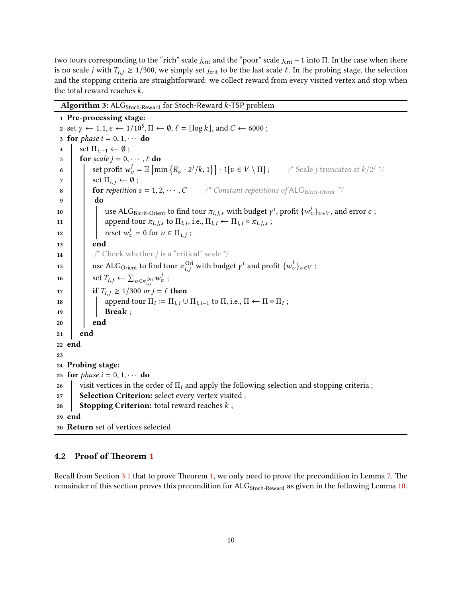two tours corresponding to the "rich" scale  $j_{\text{crit}}$  and the "poor" scale  $j_{\text{crit}}$  − 1 into Π. In the case when there is no scale j with  $T_{i,j} \ge 1/300$ , we simply set j<sub>crit</sub> to be the last scale  $\ell$ . In the probing stage, the selection and the stopping criteria are straightforward: we collect reward from every visited vertex and stop when the total reward reaches k.

<span id="page-10-0"></span>Algorithm 3:  $ALG<sub>Stoch-Reward</sub>$  for Stoch-Reward k-TSP problem

1 Pre-processing stage: 2 set  $\gamma \leftarrow 1.1, \epsilon \leftarrow 1/10^5, \Pi \leftarrow \emptyset, \ell = \lfloor \log k \rfloor, \text{ and } C \leftarrow 6000;$ 3 for phase  $i = 0, 1, \cdots$  do  $4 \ \vert \ \ \text{set } \Pi_{i-1} \leftarrow \emptyset$ ; 5 for scale  $j = 0, \dots, \ell$  do 6 set profit  $w_v^j = \mathbb{E} \left[ \min \left\{ R_v \cdot 2^j / k, 1 \right\} \right] \cdot 1[v \in V \setminus \Pi]$ ; scale j truncates at  $k/2^{j-i}$ 7 | set  $\Pi_{i,j} \leftarrow \emptyset$ ; 8 **for repetition s = 1, 2, · · · , C** /\* Constant repetitions of ALG<sub>Bicrit-Orient</sub> \*/ 9 do 10 use ALG<sub>Bicrit-Orient</sub> to find tour  $\pi_{i,j,s}$  with budget  $\gamma^i$ , profit  $\{w^j_v\}_{v \in V}$ , and error  $\epsilon$ ; 11 **append tour**  $\pi_{i,j,s}$  to  $\Pi_{i,j}$ , i.e.,  $\Pi_{i,j} \leftarrow \Pi_{i,j} \circ \pi_{i,j,s}$ ; 12 **reset**  $w_v^j = 0$  for  $v \in \Pi_{i,j}$ ; 13 | end 14 /\* Check whether *j* is a "critical" scale  $^*/$ 15 use ALG<sub>Orient</sub> to find tour  $\pi_{i,j}^{\text{Ori}}$  with budget  $\gamma^i$  and profit  $\{w_v^j\}_{v \in V}$ ; 16  $\left| \quad \right|$  set  $T_{i,j} \leftarrow \sum_{v \in \pi_{i,j}^{Ori}} w_v^j$ ; 17 **if**  $T_{i,j} \ge 1/300$  or  $j = \ell$  then 18  $\blacksquare$  append tour  $\Pi_i := \Pi_{i,j} \cup \Pi_{i,j-1}$  to  $\Pi$ , i.e.,  $\Pi \leftarrow \Pi \circ \Pi_i$ ; 19 | | Break ;  $20$  end  $21$  end 22 end 23 24 Probing stage: 25 **for** *phase*  $i = 0, 1, \cdots$  **do**<br>26 visit vertices in the o visit vertices in the order of  $\Pi_i$  and apply the following selection and stopping criteria; 27 | Selection Criterion: select every vertex visited ; 28 Stopping Criterion: total reward reaches  $k$ ; 29 end 30 Return set of vertices selected

### 4.2 Proof of Theorem [1](#page-2-2)

Recall from Section [3.1](#page-6-4) that to prove Theorem [1,](#page-2-2) we only need to prove the precondition in Lemma [7.](#page-7-2) The remainder of this section proves this precondition for ALG<sub>Stoch-Reward</sub> as given in the following Lemma [10.](#page-11-0)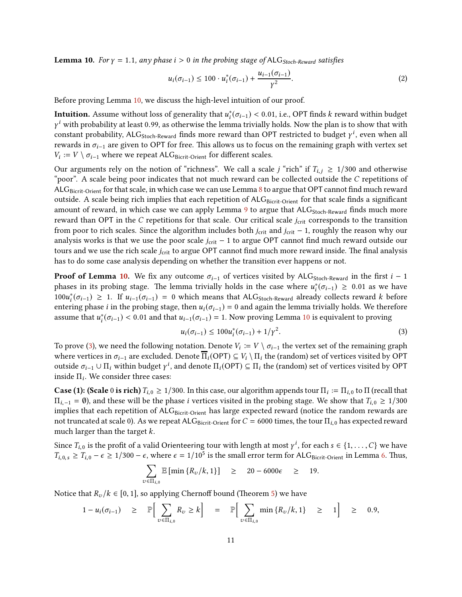<span id="page-11-0"></span>**Lemma 10.** For  $\gamma = 1.1$ , any phase  $i > 0$  in the probing stage of ALG<sub>Stoch-Reward</sub> satisfies

$$
u_i(\sigma_{i-1}) \le 100 \cdot u_i^*(\sigma_{i-1}) + \frac{u_{i-1}(\sigma_{i-1})}{\gamma^2}.
$$
 (2)

Before proving Lemma [10,](#page-11-0) we discuss the high-level intuition of our proof.

**Intuition.** Assume without loss of generality that  $u_i^*(\sigma_{i-1}) < 0.01$ , i.e., OPT finds k reward within budget  $\gamma^i$  with probability at least 0.99, as otherwise the lemma trivially holds. Now the plan is to show that with constant probability, ALG<sub>Stoch-Reward</sub> finds more reward than OPT restricted to budget  $\gamma^i$ , even when all rewards in  $\sigma_{i-1}$  are given to OPT for free. This allows us to focus on the remaining graph with vertex set  $V_i := V \setminus \sigma_{i-1}$  where we repeat ALG<sub>Bicrit-Orient</sub> for different scales.

Our arguments rely on the notion of "richness". We call a scale j "rich" if  $T_{i,j} \geq 1/300$  and otherwise "poor". A scale being poor indicates that not much reward can be collected outside the C repetitions of ALG<sub>Bicrit-Orient</sub> for that scale, in which case we can use Lemma [8](#page-8-1) to argue that OPT cannot find much reward outside. A scale being rich implies that each repetition of  $ALG<sub>Bicrit-Orient</sub>$  for that scale finds a significant amount of reward, in which case we can apply Lemma [9](#page-9-1) to argue that  $ALG_{Stoch-Reward}$  finds much more reward than OPT in the C repetitions for that scale. Our critical scale  $j_{\text{crit}}$  corresponds to the transition from poor to rich scales. Since the algorithm includes both  $j_{\text{crit}}$  and  $j_{\text{crit}}$  – 1, roughly the reason why our analysis works is that we use the poor scale  $j_{\text{crit}}$  − 1 to argue OPT cannot find much reward outside our tours and we use the rich scale  $j_{\text{crit}}$  to argue OPT cannot find much more reward inside. The final analysis has to do some case analysis depending on whether the transition ever happens or not.

**Proof of Lemma [10.](#page-11-0)** We fix any outcome  $\sigma_{i-1}$  of vertices visited by ALG<sub>Stoch-Reward</sub> in the first  $i - 1$ phases in its probing stage. The lemma trivially holds in the case where  $u_i^*(\sigma_{i-1}) \geq 0.01$  as we have  $100u_i^*(\sigma_{i-1})$  ≥ 1. If  $u_{i-1}(\sigma_{i-1}) = 0$  which means that ALG<sub>Stoch-Reward</sub> already collects reward k before entering phase *i* in the probing stage, then  $u_i(\sigma_{i-1}) = 0$  and again the lemma trivially holds. We therefore assume that  $u_i^*(\sigma_{i-1}) < 0.01$  and that  $u_{i-1}(\sigma_{i-1}) = 1$ . Now proving Lemma [10](#page-11-0) is equivalent to proving

<span id="page-11-1"></span>
$$
u_i(\sigma_{i-1}) \le 100 u_i^*(\sigma_{i-1}) + 1/\gamma^2.
$$
\n(3)

To prove [\(3\)](#page-11-1), we need the following notation. Denote  $V_i := V \setminus \sigma_{i-1}$  the vertex set of the remaining graph where vertices in  $\sigma_{i-1}$  are excluded. Denote  $\overline{\Pi}_i(\text{OPT}) \subseteq V_i \setminus \Pi_i$  the (random) set of vertices visited by OPT outside  $σ_{i-1} ∪ Π_i$  within budget  $γ^i$ , and denote  $\Pi_i(OPT) ⊆ Π_i$  the (random) set of vertices visited by OPT inside  $\Pi_i$ . We consider three cases:

**Case (1): (Scale** 0 is rich)  $T_{i,0} \ge 1/300$ . In this case, our algorithm appends tour  $\Pi_i := \Pi_{i,0}$  to  $\Pi$  (recall that  $\Pi_{i,-1} = \emptyset$ ), and these will be the phase *i* vertices visited in the probing stage. We show that  $T_{i,0} \ge 1/300$ implies that each repetition of ALGBicrit-Orient has large expected reward (notice the random rewards are not truncated at scale 0). As we repeat ALG<sub>Bicrit-Orient</sub> for  $C = 6000$  times, the tour  $\Pi_{i,0}$  has expected reward much larger than the target k.

Since  $T_{i,0}$  is the profit of a valid Orienteering tour with length at most  $\gamma^i$ , for each  $s \in \{1, \ldots, C\}$  we have  $T_{i,0,s} \geq T_{i,0} - \epsilon \geq 1/300 - \epsilon$ , where  $\epsilon = 1/10^5$  is the small error term for ALG<sub>Bicrit-Orient</sub> in Lemma [6.](#page-6-3) Thus,

$$
\sum_{v \in \Pi_{i,0}} \mathbb{E} \left[ \min \left\{ R_v / k, 1 \right\} \right] \quad \geq \quad 20 - 6000 \epsilon \quad \geq \quad 19.
$$

Notice that  $R_v / k \in [0, 1]$ , so applying Chernoff bound (Theorem [5\)](#page-6-5) we have

$$
1-u_i(\sigma_{i-1}) \geq \mathbb{P}\Big[\sum_{v\in\Pi_{i,0}} R_v \geq k\Big] = \mathbb{P}\Big[\sum_{v\in\Pi_{i,0}} \min\{R_v/k, 1\} \geq 1\Big] \geq 0.9,
$$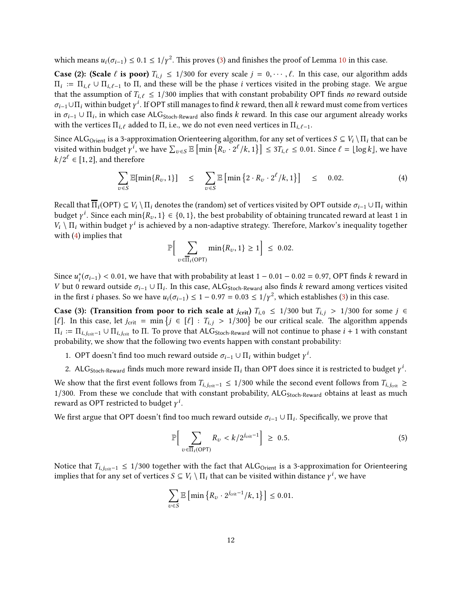which means  $u_i(\sigma_{i-1})$  ≤ 0.1 ≤ 1/ $\gamma^2$ . This proves [\(3\)](#page-11-1) and finishes the proof of Lemma [10](#page-11-0) in this case.

**Case (2): (Scale**  $\ell$  is poor)  $T_{i,j} \leq 1/300$  for every scale  $j = 0, \dots, \ell$ . In this case, our algorithm adds  $\Pi_i := \Pi_{i,\ell} \cup \Pi_{i,\ell-1}$  to  $\Pi$ , and these will be the phase i vertices visited in the probing stage. We argue that the assumption of  $T_{i,\ell} \leq 1/300$  implies that with constant probability OPT finds no reward outside  $\sigma_{i-1}\cup\Pi_i$  within budget  $\gamma^i$ . If OPT still manages to find k reward, then all k reward must come from vertices in  $\sigma_{i-1}\cup\Pi_i$ , in which case ALG<sub>Stoch-Reward</sub> also finds k reward. In this case our argument already works with the vertices  $\Pi_{i,\ell}$  added to  $\Pi$ , i.e., we do not even need vertices in  $\Pi_{i,\ell-1}$ .

Since ALG<sub>Orient</sub> is a 3-approximation Orienteering algorithm, for any set of vertices  $S \subseteq V_i \setminus \Pi_i$  that can be visited within budget  $\gamma^i$ , we have  $\sum_{v \in S} \mathbb{E} \left[ \min \{ R_v \cdot 2^{\ell} / k, 1 \} \right] \leq 3T_{i, \ell} \leq 0.01$ . Since  $\ell = \lfloor \log k \rfloor$ , we have  $k/2^{\ell} \in [1,2]$ , and therefore

$$
\sum_{v \in S} \mathbb{E}[\min\{R_v, 1\}] \leq \sum_{v \in S} \mathbb{E}\left[\min\left\{2 \cdot R_v \cdot 2^{\ell}/k, 1\right\}\right] \leq 0.02. \tag{4}
$$

Recall that  $\overline{\Pi}_i(\text{OPT}) \subseteq V_i \setminus \Pi_i$  denotes the (random) set of vertices visited by OPT outside  $\sigma_{i-1} \cup \Pi_i$  within budget  $\gamma^i$ . Since each min $\{R_v, 1\} \in \{0, 1\}$ , the best probability of obtaining truncated reward at least 1 in  $V_i \setminus \Pi_i$  within budget  $\gamma^i$  is achieved by a non-adaptive strategy. Therefore, Markov's inequality together with [\(4\)](#page-12-0) implies that

<span id="page-12-0"></span>
$$
\mathbb{P}\Big[\sum_{v \in \overline{\Pi}_i(\text{OPT})} \min\{R_v, 1\} \ge 1\Big] \le 0.02.
$$

Since  $u_i^*(\sigma_{i-1})$  < 0.01, we have that with probability at least 1 – 0.01 – 0.02 = 0.97, OPT finds k reward in V but 0 reward outside  $\sigma_{i-1} \cup \Pi_i$ . In this case, ALG<sub>Stoch-Reward</sub> also finds k reward among vertices visited in the first *i* phases. So we have  $u_i(\sigma_{i-1}) \leq 1 - 0.97 = 0.03 \leq 1/\gamma^2$ , which establishes [\(3\)](#page-11-1) in this case.

**Case (3): (Transition from poor to rich scale at**  $j_{\text{crit}}$ **)**  $T_{i,0} \le 1/300$  but  $T_{i,j} > 1/300$  for some  $j \in$ [ $\ell$ ]. In this case, let  $j_{\text{crit}} = \min \{j \in [\ell] : T_{i,j} > 1/300\}$  be our critical scale. The algorithm appends  $\Pi_i := \Pi_{i,j_{\text{crit}}-1} \cup \Pi_{i,j_{\text{crit}}}$  to  $\Pi$ . To prove that ALG<sub>Stoch-Reward</sub> will not continue to phase  $i+1$  with constant probability, we show that the following two events happen with constant probability:

- 1. OPT doesn't find too much reward outside  $\sigma_{i-1} \cup \Pi_i$  within budget  $\gamma^i$ .
- 2. ALG<sub>Stoch-Reward</sub> finds much more reward inside  $\Pi_i$  than OPT does since it is restricted to budget  $\gamma^i$ .

We show that the first event follows from  $T_{i,j_{\text{crit}}-1}$  ≤ 1/300 while the second event follows from  $T_{i,j_{\text{crit}}}$  ≥  $1/300$ . From these we conclude that with constant probability,  $ALG_{Stoch-Reward}$  obtains at least as much reward as OPT restricted to budget  $\gamma^i$ .

We first argue that OPT doesn't find too much reward outside  $\sigma_{i-1}\cup\Pi_i.$  Specifically, we prove that

<span id="page-12-1"></span>
$$
\mathbb{P}\Big[\sum_{v\in\overline{\Pi}_i(\text{OPT})} R_v < k/2^{j_{\text{crit}}-1}\Big] \geq 0.5. \tag{5}
$$

Notice that  $T_{i,j_{crit}-1}$  ≤ 1/300 together with the fact that ALG<sub>Orient</sub> is a 3-approximation for Orienteering implies that for any set of vertices  $S \subseteq V_i \setminus \Pi_i$  that can be visited within distance  $\gamma^i$ , we have

$$
\sum_{v \in S} \mathbb{E} \left[ \min \left\{ R_v \cdot 2^{j_{\text{crit}}-1}/k, 1 \right\} \right] \le 0.01.
$$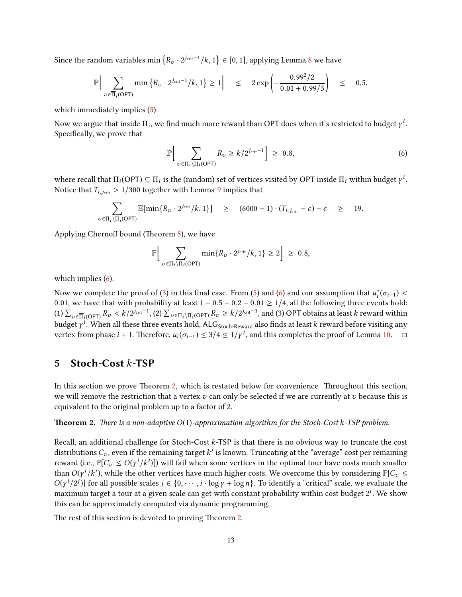Since the random variables min  $\{R_v \cdot 2^{j_{\text{crit}}-1}/k, 1\}$  ∈ [0, 1], applying Lemma [8](#page-8-1) we have

$$
\mathbb{P}\Big[\sum_{v \in \overline{\Pi}_i(\text{OPT})} \min\big\{R_v \cdot 2^{j_{\text{crit}}-1}/k, 1\big\} \ge 1\Big] \quad \le \quad 2\exp\left(-\frac{0.99^2/2}{0.01 + 0.99/3}\right) \quad \le \quad 0.5,
$$

which immediately implies [\(5\)](#page-12-1).

Now we argue that inside  $\Pi_i$ , we find much more reward than OPT does when it's restricted to budget  $\gamma^i$ . Specifically, we prove that

<span id="page-13-1"></span>
$$
\mathbb{P}\Big[\sum_{v \in \Pi_i \setminus \Pi_i(\text{OPT})} R_v \ge k/2^{j_{\text{crit}}-1}\Big] \ge 0.8,\tag{6}
$$

where recall that  $\Pi_i(OPT) \subseteq \Pi_i$  is the (random) set of vertices visited by OPT inside  $\Pi_i$  within budget  $\gamma^i$ . Notice that  $T_{i,j_{\text{crit}}} > 1/300$  together with Lemma [9](#page-9-1) implies that

$$
\sum_{v \in \Pi_i \setminus \Pi_i(\text{OPT})} \mathbb{E}[\min\{R_v \cdot 2^{j_{\text{crit}}}/k, 1\}] \ge (6000 - 1) \cdot (T_{i, j_{\text{crit}}} - \epsilon) - \epsilon \ge 19.
$$

Applying Chernoff bound (Theorem [5\)](#page-6-5), we have

$$
\mathbb{P}\Big[\sum_{v \in \Pi_i \backslash \Pi_i(\text{OPT})} \min\{R_v \cdot 2^{j_{\text{crit}}}/k, 1\} \ge 2\Big] \ge 0.8,
$$

which implies [\(6\)](#page-13-1).

Now we complete the proof of [\(3\)](#page-11-1) in this final case. From [\(5\)](#page-12-1) and [\(6\)](#page-13-1) and our assumption that  $u_i^*(\sigma_{i-1})$  < 0.01, we have that with probability at least  $1 - 0.5 - 0.2 - 0.01 \ge 1/4$ , all the following three events hold: (1)  $\sum_{v \in \overline{\Pi}_i(\text{OPT})} R_v < k/2^{j_{\text{crit}}-1}$ , (2)  $\sum_{v \in \Pi_i \setminus \Pi_i(\text{OPT})} R_v \ge k/2^{j_{\text{crit}}-1}$ , and (3) OPT obtains at least k reward within budget  $\gamma^i.$  When all these three events hold, ALG $_{\rm Stoch\text{-}Reward}$  also finds at least  $k$  reward before visiting any vertex from phase *i* + 1. Therefore,  $u_i(\sigma_{i-1}) \leq 3/4 \leq 1/\gamma^2$ , and this completes the proof of Lemma [10.](#page-11-0)  $\Box$ 

## <span id="page-13-0"></span>5 Stoch-Cost k-TSP

In this section we prove Theorem [2,](#page-3-1) which is restated below for convenience. Throughout this section, we will remove the restriction that a vertex  $v$  can only be selected if we are currently at  $v$  because this is equivalent to the original problem up to a factor of 2.

**Theorem 2.** There is a non-adaptive  $O(1)$ -approximation algorithm for the Stoch-Cost k-TSP problem.

Recall, an additional challenge for Stoch-Cost k-TSP is that there is no obvious way to truncate the cost distributions  $C_v$ , even if the remaining target  $k^\prime$  is known. Truncating at the "average" cost per remaining reward (i.e.,  $\mathbb{P}[C_v \le O(\gamma^i/k')]$ ) will fail when some vertices in the optimal tour have costs much smaller than  $O(y^i/k')$ , while the other vertices have much higher costs. We overcome this by considering  $\mathbb{P}[C_v \leq$  $O(y^i/2^j)$ ] for all possible scales  $j \in \{0, \dots, i \cdot \log y + \log n\}$ . To identify a "critical" scale, we evaluate the maximum target a tour at a given scale can get with constant probability within cost budget  $2^i$ . We show this can be approximately computed via dynamic programming.

The rest of this section is devoted to proving Theorem [2.](#page-3-1)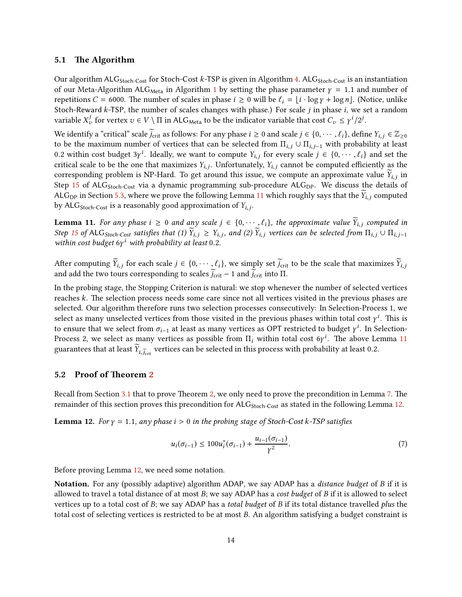#### 5.1 The Algorithm

Our algorithm ALG<sub>Stoch-Cost</sub> for Stoch-Cost k-TSP is given in Algorithm [4.](#page-15-0) ALG<sub>Stoch-Cost</sub> is an instantiation of our Meta-Algorithm ALG<sub>Meta</sub> in Algorithm [1](#page-7-0) by setting the phase parameter  $\gamma = 1.1$  and number of repetitions C = 6000. The number of scales in phase  $i \ge 0$  will be  $\ell_i = |i \cdot \log \gamma + \log n|$ . (Notice, unlike Stoch-Reward  $k$ -TSP, the number of scales changes with phase.) For scale  $j$  in phase  $i$ , we set a random variable  $X_v^j$  for vertex  $v \in V \setminus \Pi$  in ALG<sub>Meta</sub> to be the indicator variable that cost  $C_v \leq \gamma^i/2^j$ .

We identify a "critical" scale  $\tilde{j}_{\text{crit}}$  as follows: For any phase  $i \geq 0$  and scale  $j \in \{0, \dots, \ell_i\}$ , define  $Y_{i,j} \in \mathbb{Z}_{\geq 0}$ to be the maximum number of vertices that can be selected from  $\Pi_{i,j} \cup \Pi_{i,j-1}$  with probability at least 0.2 within cost budget 3 $\gamma^i$ . Ideally, we want to compute  $Y_{i,j}$  for every scale  $j \in \{0, \dots, \ell_i\}$  and set the critical scale to be the one that maximizes  $Y_{i,j}$ . Unfortunately,  $Y_{i,j}$  cannot be computed efficiently as the corresponding problem is NP-Hard. To get around this issue, we compute an approximate value  $Y_{i,j}$  in Step [15](#page-15-1) of ALG<sub>Stoch-Cost</sub> via a dynamic programming sub-procedure ALG<sub>DP</sub>. We discuss the details of ALG<sub>DP</sub> in Section [5.3,](#page-19-0) where we prove the following Lemma [11](#page-14-0) which roughly says that the  $Y_{i,j}$  computed by ALG $_{\rm Stoch-Cost}$  is a reasonably good approximation of  $Y_{i,j}.$ 

<span id="page-14-0"></span>**Lemma 11.** For any phase  $i \geq 0$  and any scale  $j \in \{0, \dots, \ell_i\}$ , the approximate value  $\widetilde{Y}_{i,j}$  computed in Step [15](#page-15-1) of ALG<sub>Stoch-Cost</sub> satisfies that (1)  $\widetilde{Y}_{i,j} \ge Y_{i,j}$ , and (2)  $\widetilde{Y}_{i,j}$  vertices can be selected from  $\Pi_{i,j} \cup \Pi_{i,j-1}$ within cost budget  $6y<sup>i</sup>$  with probability at least 0.2.

After computing  $\widetilde{Y}_{i,j}$  for each scale  $j \in \{0, \dots, \ell_i\}$ , we simply set  $\widetilde{j}_{\text{crit}}$  to be the scale that maximizes  $\widetilde{Y}_{i,j}$ and add the two tours corresponding to scales  $\widetilde{j}_{\text{crit}} - 1$  and  $\widetilde{j}_{\text{crit}}$  into  $\Pi$ .

In the probing stage, the Stopping Criterion is natural: we stop whenever the number of selected vertices reaches k. The selection process needs some care since not all vertices visited in the previous phases are selected. Our algorithm therefore runs two selection processes consecutively: In Selection-Process 1, we select as many unselected vertices from those visited in the previous phases within total cost  $\gamma^i$ . This is to ensure that we select from  $\sigma_{i-1}$  at least as many vertices as OPT restricted to budget  $\gamma^i$ . In Selection-Process 2, we select as many vertices as possible from  $\Pi_i$  within total cost 6 $\gamma^i$ . The above Lemma [11](#page-14-0) guarantees that at least  $Y_{i,\widetilde{j}_{\rm crit}}$  vertices can be selected in this process with probability at least 0.2.

### 5.[2](#page-3-1) Proof of Theorem 2

Recall from Section [3.1](#page-6-4) that to prove Theorem [2,](#page-3-1) we only need to prove the precondition in Lemma [7.](#page-7-2) The remainder of this section proves this precondition for ALG<sub>Stoch-Cost</sub> as stated in the following Lemma [12.](#page-14-1)

<span id="page-14-1"></span>**Lemma 12.** For  $\gamma = 1.1$ , any phase  $i > 0$  in the probing stage of Stoch-Cost k-TSP satisfies

$$
u_i(\sigma_{i-1}) \le 100u_i^*(\sigma_{i-1}) + \frac{u_{i-1}(\sigma_{i-1})}{\gamma^2}.
$$
\n(7)

Before proving Lemma [12,](#page-14-1) we need some notation.

Notation. For any (possibly adaptive) algorithm ADAP, we say ADAP has a *distance budget* of B if it is allowed to travel a total distance of at most  $B$ ; we say ADAP has a cost budget of  $B$  if it is allowed to select vertices up to a total cost of B; we say ADAP has a *total budget* of B if its total distance travelled *plus* the total cost of selecting vertices is restricted to be at most B. An algorithm satisfying a budget constraint is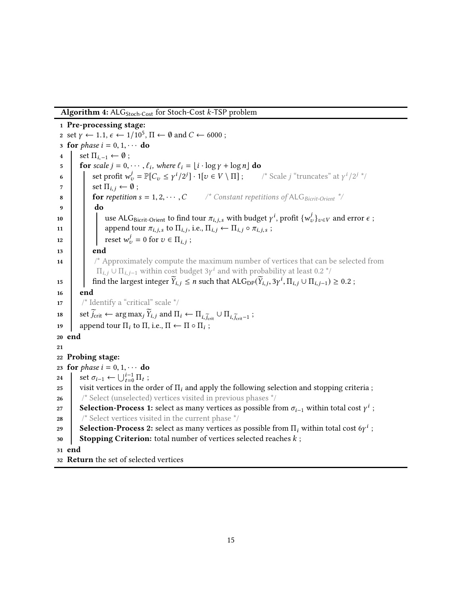<span id="page-15-0"></span>Algorithm 4:  $ALG<sub>Stoch-Cost</sub>$  for Stoch-Cost k-TSP problem

<span id="page-15-1"></span>1 Pre-processing stage: 2 set  $\gamma \leftarrow 1.1, \epsilon \leftarrow 1/10^5, \Pi \leftarrow \emptyset$  and  $C \leftarrow 6000$ ; 3 for *phase*  $i = 0, 1, \cdots$  do 4 set  $\Pi_{i-1} \leftarrow \emptyset$ ; 5 **for** scale  $j = 0, \dots, \ell_i$ , where  $\ell_i = \lfloor i \cdot \log \gamma + \log n \rfloor$  do 6 set profit  $w_v^j = \mathbb{P}[C_v \leq \gamma^i/2^j] \cdot 1[v \in V \setminus \Pi]$ ; /\* Scale j "truncates" at  $\gamma^i/2^{j-i}$  $\begin{array}{c} \n\mathbf{z} \\
\mathbf{s} \\
\mathbf{s} \\
\mathbf{s} \\
\mathbf{s} \\
\mathbf{s} \\
\mathbf{s} \\
\mathbf{s} \\
\mathbf{s} \\
\mathbf{s} \\
\mathbf{s} \\
\mathbf{s} \\
\mathbf{s} \\
\mathbf{s} \\
\mathbf{s} \\
\mathbf{s} \\
\mathbf{s} \\
\mathbf{s} \\
\mathbf{s} \\
\mathbf{s} \\
\mathbf{s} \\
\mathbf{s} \\
\mathbf{s} \\
\mathbf{s} \\
\mathbf{s} \\
\mathbf{s} \\
\mathbf{s} \\
\mathbf{s} \\
\mathbf{s} \\
\mathbf{s} \\
\mathbf{s} \\
\mathbf{s} \\
\mathbf{s} \\
\mathbf{s} \\
\mathbf{s} \\$  $\frac{1}{2}$  Constant repetitions of ALG Bicrit-Orient \*/ 9 do 10 use ALG<sub>Bicrit-Orient</sub> to find tour  $\pi_{i,j,s}$  with budget  $\gamma^i$ , profit  $\{w^j_v\}_{v \in V}$  and error  $\epsilon$ ; 11 **append tour**  $\pi_{i,j,s}$  to  $\Pi_{i,j}$ , i.e.,  $\Pi_{i,j} \leftarrow \Pi_{i,j} \circ \pi_{i,j,s}$ ; 12 **reset**  $w_v^j = 0$  for  $v \in \Pi_{i,j}$ ;  $13$  end 14 /\* Approximately compute the maximum number of vertices that can be selected from  $\Pi_{i,j}\cup \Pi_{i,j-1}$  within cost budget  $3\gamma^i$  and with probability at least 0.2  $^*/$ 15 find the largest integer  $\widetilde{Y}_{i,j} \le n$  such that  $\mathsf{ALG}_{\mathsf{DP}}(\widetilde{Y}_{i,j}, 3\gamma^i, \Pi_{i,j} \cup \Pi_{i,j-1}) \ge 0.2$ ; 16 end 17 /\* Identify a "critical" scale \*/ 18 set  $\widetilde{j}_{\text{crit}} \leftarrow \arg \max_j \widetilde{Y}_{i,j}$  and  $\Pi_i \leftarrow \Pi_{i,\widetilde{j}_{\text{crit}}} \cup \Pi_{i,\widetilde{j}_{\text{crit}}-1}$ ; 19  $\Box$  append tour  $\Pi_i$  to  $\Pi$ , i.e.,  $\Pi \leftarrow \Pi \circ \Pi_i$ ; 20 end 21 22 Probing stage: 23 for *phase*  $i = 0, 1, \cdots$  do<br>24 set  $\sigma_{i-1} \leftarrow \bigcup_{i=0}^{i-1} \Pi_i$ ; 24 set  $\sigma_{i-1} \leftarrow \bigcup_{t=0}^{i-1} \Pi_t$ ; 25 visit vertices in the order of  $\Pi_i$  and apply the following selection and stopping criteria; 26 /\* Select (unselected) vertices visited in previous phases \*/ 27 Selection-Process 1: select as many vertices as possible from  $\sigma_{i-1}$  within total cost  $\gamma^i$ ; 28  $\frac{1}{28}$  /\* Select vertices visited in the current phase  $\frac{1}{2}$  / 29 Selection-Process 2: select as many vertices as possible from  $\Pi_i$  within total cost 6 $\gamma^i$  ; 30 Stopping Criterion: total number of vertices selected reaches  $k$ ; 31 end 32 Return the set of selected vertices

15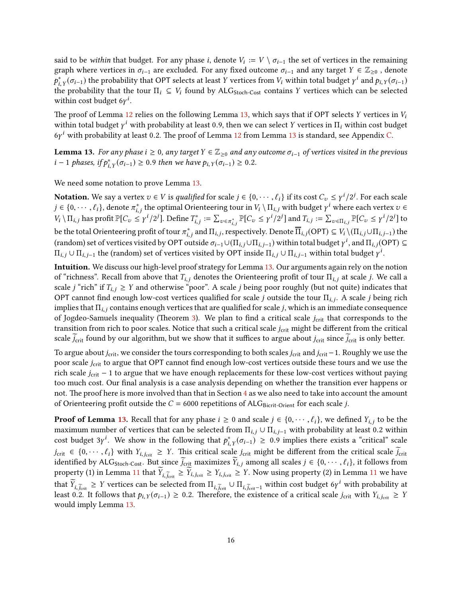said to be *within* that budget. For any phase *i*, denote  $V_i := V \setminus \sigma_{i-1}$  the set of vertices in the remaining graph where vertices in  $\sigma_{i-1}$  are excluded. For any fixed outcome  $\sigma_{i-1}$  and any target  $Y \in \mathbb{Z}_{\geq 0}$ , denote  $p_{i,\,Y}^*(\sigma_{i-1})$  the probability that OPT selects at least  $Y$  vertices from  $V_i$  within total budget  $\gamma^i$  and  $p_{i,\,Y}(\sigma_{i-1})$ the probability that the tour  $\Pi_i \subseteq V_i$  found by ALG<sub>Stoch-Cost</sub> contains Y vertices which can be selected within cost budget  $6y^i$ .

The proof of Lemma [12](#page-14-1) relies on the following Lemma [13,](#page-16-0) which says that if OPT selects Y vertices in  $V_i$ within total budget  $\gamma^i$  with probability at least 0.9, then we can select Y vertices in  $\Pi_i$  within cost budget  $6y<sup>i</sup>$  with probability at least 0.2. The proof of Lemma [12](#page-14-1) from Lemma [13](#page-16-0) is standard, see Appendix [C.](#page-22-0)

<span id="page-16-0"></span>**Lemma 13.** For any phase i ≥ 0, any target  $Y \in \mathbb{Z}_{\geq 0}$  and any outcome  $\sigma_{i-1}$  of vertices visited in the previous *i* − 1 *phases, if*  $p_{i, Y}^*(\sigma_{i-1}) \ge 0.9$  *then we have*  $p_{i, Y}(\sigma_{i-1}) \ge 0.2$ *.* 

We need some notation to prove Lemma [13.](#page-16-0)

**Notation.** We say a vertex  $v \in V$  is *qualified* for scale  $j \in \{0, \dots, \ell_i\}$  if its cost  $C_v \leq \gamma^i/2^j$ . For each scale  $j \in \{0,\cdots,\ell_i\}$ , denote  $\pi^*_{i,j}$  the optimal Orienteering tour in  $V_i\setminus\Pi_{i,j}$  with budget  $\gamma^i$  where each vertex  $v \in \mathbb{R}$  $V_i \setminus \Pi_{i,j}$  has profit  $\mathbb{P}[C_v \leq \gamma^i/2^j]$ . Define  $T_{i,j}^* := \sum_{v \in \pi_{i,j}^*} \mathbb{P}[C_v \leq \gamma^i/2^j]$  and  $T_{i,j} := \sum_{v \in \Pi_{i,j}} \mathbb{P}[C_v \leq \gamma^i/2^j]$  to be the total Orienteering profit of tour  $\pi_{i,j}^*$  and  $\Pi_{i,j},$  respectively. Denote  $\overline\Pi_{i,j}(\mathsf{OPT})\subseteq V_i\setminus(\Pi_{i,j}\cup\Pi_{i,j-1})$  the (random) set of vertices visited by OPT outside  $\sigma_{i-1}\cup(\Pi_{i,j}\cup\Pi_{i,j-1})$  within total budget  $\gamma^i$ , and  $\Pi_{i,j}$ (OPT)  $\subseteq$  $\Pi_{i,j}\cup\Pi_{i,j-1}$  the (random) set of vertices visited by OPT inside  $\Pi_{i,j}\cup\Pi_{i,j-1}$  within total budget  $\gamma^i.$ 

Intuition. We discuss our high-level proof strategy for Lemma [13.](#page-16-0) Our arguments again rely on the notion of "richness". Recall from above that  $T_{i,j}$  denotes the Orienteering profit of tour  $\Pi_{i,j}$  at scale j. We call a scale j "rich" if  $T_{i,j} \geq Y$  and otherwise "poor". A scale j being poor roughly (but not quite) indicates that OPT cannot find enough low-cost vertices qualified for scale j outside the tour  $\Pi_{i,j}$ . A scale j being rich implies that  $\Pi_{i,j}$  contains enough vertices that are qualified for scale j, which is an immediate consequence of Jogdeo-Samuels inequality (Theorem [3\)](#page-5-1). We plan to find a critical scale  $j_{\text{crit}}$  that corresponds to the transition from rich to poor scales. Notice that such a critical scale *j<sub>crit</sub>* might be different from the critical scale  $j_{\text{crit}}$  found by our algorithm, but we show that it suffices to argue about  $j_{\text{crit}}$  since  $j_{\text{crit}}$  is only better.

To argue about  $j_{\rm crit}$ , we consider the tours corresponding to both scales  $j_{\rm crit}$  and  $j_{\rm crit}$ −1. Roughly we use the poor scale *j<sub>crit</sub>* to argue that OPT cannot find enough low-cost vertices outside these tours and we use the rich scale  $j_{\text{crit}}$  − 1 to argue that we have enough replacements for these low-cost vertices without paying too much cost. Our final analysis is a case analysis depending on whether the transition ever happens or not. The proof here is more involved than that in Section [4](#page-9-0) as we also need to take into account the amount of Orienteering profit outside the  $C = 6000$  repetitions of ALG<sub>Bicrit-Orient</sub> for each scale *j*.

**Proof of Lemma [13.](#page-16-0)** Recall that for any phase  $i \ge 0$  and scale  $j \in \{0, \dots, \ell_i\}$ , we defined  $Y_{i,j}$  to be the maximum number of vertices that can be selected from  $\Pi_{i,j} \cup \Pi_{i,j-1}$  with probability at least 0.2 within cost budget 3 $\gamma^i$ . We show in the following that  $p^*_{i,Y}(\sigma_{i-1}) \geq 0.9$  implies there exists a "critical" scale  $j_{\text{crit}} \in \{0, \dots, \ell_i\}$  with  $Y_{i,j_{\text{crit}}} \geq Y$ . This critical scale  $j_{\text{crit}}$  might be different from the critical scale  $\tilde{j}_{\text{crit}}$ identified by ALG<sub>Stoch-Cost</sub>. But since  $\widetilde{j}_{\text{crit}}$  maximizes  $\widetilde{Y}_{i,j}$  among all scales  $j \in \{0, \dots, \ell_i\}$ , it follows from property (1) in Lemma [11](#page-14-0) that  $Y_{i,\widetilde{f}_{\text{crit}}} \geq Y_{i,j_{\text{crit}}} \geq Y_{i,j_{\text{crit}}} \geq Y$ . Now using property (2) in Lemma 11 we have that  $\widetilde{Y}_{i,\widetilde{j}_{\text{crit}}} \geq Y$  vertices can be selected from  $\Pi_{i,\widetilde{j}_{\text{crit}}} \cup \Pi_{i,\widetilde{j}_{\text{crit}}-1}$  within cost budget 6γ<sup>*i*</sup> with probability at least 0.2. It follows that  $p_{i,Y}(\sigma_{i-1}) \ge 0.2$ . Therefore, the existence of a critical scale j<sub>crit</sub> with  $Y_{i,j_{crit}} \ge Y$ would imply Lemma [13.](#page-16-0)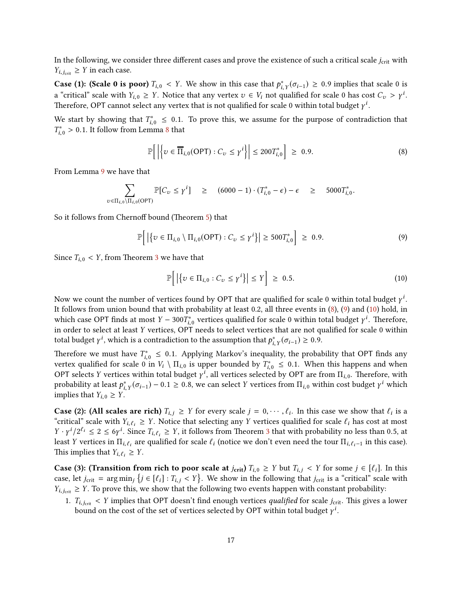In the following, we consider three different cases and prove the existence of such a critical scale  $j_{\text{crit}}$  with  $Y_{i, j_{\text{crit}}} \geq Y$  in each case.

**Case (1): (Scale 0 is poor)**  $T_{i,0} < Y$ . We show in this case that  $p_{i,Y}^*(\sigma_{i-1}) \ge 0.9$  implies that scale 0 is a "critical" scale with  $Y_{i,0} \geq Y$ . Notice that any vertex  $v \in V_i$  not qualified for scale 0 has cost  $C_v > \gamma^i$ . Therefore, OPT cannot select any vertex that is not qualified for scale 0 within total budget  $\gamma^i$ .

We start by showing that  $T_{i,0}^* \leq 0.1$ . To prove this, we assume for the purpose of contradiction that  $T_{i,0}^* > 0.1$ . It follow from Lemma [8](#page-8-1) that

<span id="page-17-0"></span>
$$
\mathbb{P}\Big[\left|\left\{v \in \overline{\Pi}_{i,0}(\text{OPT}) : C_v \le \gamma^i\right\}\right| \le 200T_{i,0}^*\Big] \ge 0.9. \tag{8}
$$

From Lemma [9](#page-9-1) we have that

$$
\sum_{v \in \Pi_{i,0} \backslash \Pi_{i,0}(\text{OPT})} \mathbb{P}[C_v \leq \gamma^i] \geq (6000 - 1) \cdot (T_{i,0}^* - \epsilon) - \epsilon \geq 5000 T_{i,0}^*.
$$

So it follows from Chernoff bound (Theorem [5\)](#page-6-5) that

$$
\mathbb{P}\Big[\left|\left\{v \in \Pi_{i,0} \setminus \Pi_{i,0}(\text{OPT}) : C_v \leq \gamma^i\right\}\right| \geq 500T_{i,0}^*\Big] \geq 0.9. \tag{9}
$$

Since  $T_{i,0}$  < Y, from Theorem [3](#page-5-1) we have that

<span id="page-17-2"></span><span id="page-17-1"></span>
$$
\mathbb{P}\Big[\left|\left\{v \in \Pi_{i,0} : C_v \le \gamma^i\right\}\right| \le Y\Big] \ge 0.5. \tag{10}
$$

Now we count the number of vertices found by OPT that are qualified for scale 0 within total budget  $\gamma^i$ . It follows from union bound that with probability at least 0.2, all three events in [\(8\)](#page-17-0), [\(9\)](#page-17-1) and [\(10\)](#page-17-2) hold, in which case OPT finds at most  $Y - 300T_{i,0}^*$  vertices qualified for scale 0 within total budget  $\gamma^i$ . Therefore, in order to select at least Y vertices, OPT needs to select vertices that are not qualified for scale 0 within total budget  $\gamma^i$ , which is a contradiction to the assumption that  $p_{i, Y}^*(\sigma_{i-1}) \geq 0.9$ .

Therefore we must have  $T_{i,0}^* \leq 0.1$ . Applying Markov's inequality, the probability that OPT finds any vertex qualified for scale 0 in  $V_i \setminus \Pi_{i,0}$  is upper bounded by  $T_{i,0}^* \leq 0.1$ . When this happens and when OPT selects Y vertices within total budget  $\gamma^i$ , all vertices selected by OPT are from  $\Pi_{i,0}$ . Therefore, with probability at least  $p_{i, Y}^*(\sigma_{i-1}) - 0.1 \ge 0.8$ , we can select Y vertices from  $\Pi_{i,0}$  within cost budget  $\gamma^i$  which implies that  $Y_{i,0} \geq Y$ .

**Case (2):** (All scales are rich)  $T_{i,j} \geq Y$  for every scale  $j = 0, \dots, \ell_i$ . In this case we show that  $\ell_i$  is a "critical" scale with  $Y_{i,\ell_i} \geq Y$ . Notice that selecting any Y vertices qualified for scale  $\ell_i$  has cost at most  $Y \cdot \gamma^{i}/2^{\ell_{i}} \leq 2 \leq 6\gamma^{i}$ . Since  $T_{i,\ell_{i}} \geq Y$ , it follows from Theorem [3](#page-5-1) that with probability no less than 0.5, at least Y vertices in  $\Pi_{i,\ell_i}$  are qualified for scale  $\ell_i$  (notice we don't even need the tour  $\Pi_{i,\ell_i-1}$  in this case). This implies that  $Y_{i, \ell_i} \geq Y$ .

**Case (3): (Transition from rich to poor scale at**  $j_{\text{crit}}$ **)**  $T_{i,0} \geq Y$  but  $T_{i,j} < Y$  for some  $j \in [\ell_i]$ . In this case, let  $j_{\text{crit}} = \arg \min_j \{j \in [\ell_i] : T_{i,j} < Y\}$ . We show in the following that  $j_{\text{crit}}$  is a "critical" scale with  $Y_{i,j_{\text{crit}}} \geq Y$ . To prove this, we show that the following two events happen with constant probability:

1.  $T_{i,j_{\text{crit}}}$  < Y implies that OPT doesn't find enough vertices *qualified* for scale  $j_{\text{crit}}$ . This gives a lower bound on the cost of the set of vertices selected by OPT within total budget  $\gamma^i$ .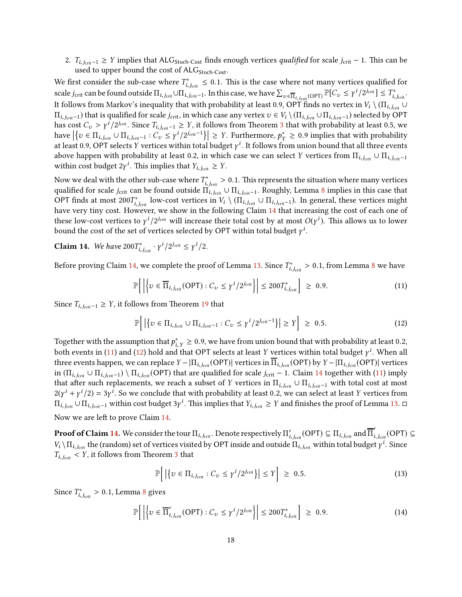2.  $T_{i,j_{crit}-1} \geq Y$  implies that ALG<sub>Stoch-Cost</sub> finds enough vertices *qualified* for scale  $j_{crit} - 1$ . This can be used to upper bound the cost of  $ALG<sub>Stoch-Cost</sub>$ .

We first consider the sub-case where  $T_{i,j_{\text{crit}}}^* \leq 0.1$ . This is the case where not many vertices qualified for scale j<sub>crit</sub> can be found outside  $\Pi_{i,j_{\text{crit}}} \cup \Pi_{i,j_{\text{crit}}-1}$ . In this case, we have  $\sum_{v \in \overline{\Pi}_{i,j_{\text{crit}}}(OPT)} \mathbb{P}[C_v \leq \gamma^i/2^{j_{\text{crit}}}] \leq T^*_{i,j_{\text{crit}}}.$ It follows from Markov's inequality that with probability at least 0.9, OPT finds no vertex in  $V_i \setminus (\Pi_{i,j_{crit}} \cup$  $\Pi_{i,j_{\text{crit}}-1}$ ) that is qualified for scale  $j_{\text{crit}}$ , in which case any vertex  $v \in V_i \setminus (\Pi_{i,j_{\text{crit}}} \cup \Pi_{i,j_{\text{crit}}-1})$  selected by OPT has cost  $C_v > \gamma^i / 2^{j_{\text{crit}}}$ . Since  $T_{i,j_{\text{crit}}-1} \geq Y$ , it follows from Theorem [3](#page-5-1) that with probability at least 0.5, we have  $\left|\left\{v \in \Pi_{i,j_{crit}} \cup \Pi_{i,j_{crit}-1} : C_v \leq \gamma^i/2^{j_{crit}-1}\right\}\right| \geq Y$ . Furthermore,  $p_Y^* \geq 0.9$  implies that with probability at least 0.9, OPT selects  $Y$  vertices within total budget  $\gamma^i$ . It follows from union bound that all three events above happen with probability at least 0.2, in which case we can select Y vertices from  $\Pi_{i,j_{\text{crit}}} \cup \Pi_{i,j_{\text{crit}}-1}$ within cost budget  $2\gamma^i$ . This implies that  $Y_{i,j_{\text{crit}}} \geq Y$ .

Now we deal with the other sub-case where  $T^*_{i,j_{\rm crit}}>0.1.$  This represents the situation where many vertices qualified for scale j<sub>crit</sub> can be found outside  $\Pi_{i,j_{\text{crit}}} \cup \Pi_{i,j_{\text{crit}}-1}$ . Roughly, Lemma [8](#page-8-1) implies in this case that OPT finds at most 200 $T^*_{i,j_{\text{crit}}}$  low-cost vertices in  $V_i \setminus (\Pi_{i,j_{\text{crit}}} \cup \Pi_{i,j_{\text{crit}}-1})$ . In general, these vertices might have very tiny cost. However, we show in the following Claim [14](#page-18-0) that increasing the cost of each one of these low-cost vertices to  $\gamma^i/2^{j_{\text{crit}}}$  will increase their total cost by at most  $O(\gamma^i)$ . This allows us to lower bound the cost of the set of vertices selected by OPT within total budget  $\gamma^i$ .

<span id="page-18-0"></span>**Claim 14.** We have  $200T^*_{i,j_{crit}} \cdot \gamma^i/2^{j_{crit}} \leq \gamma^i/2$ .

Before proving Claim [14,](#page-18-0) we complete the proof of Lemma [13.](#page-16-0) Since  $T^*_{i,j_{\rm crit}} > 0.1$ , from Lemma [8](#page-8-1) we have

<span id="page-18-1"></span>
$$
\mathbb{P}\bigg[\bigg|\bigg\{v\in\overline{\Pi}_{i,j_{\text{crit}}}\text{(OPT)}:C_v\leq\gamma^i/2^{j_{\text{crit}}}\bigg\}\bigg|\leq 200T_{i,j_{\text{crit}}}^*\bigg]\,\geq\,0.9.\tag{11}
$$

Since  $T_{i,j_{crit}-1}$  ≥ Y, it follows from Theorem [19](#page-22-1) that

<span id="page-18-2"></span>
$$
\mathbb{P}\Big[\left|\left\{v \in \Pi_{i,j_{\text{crit}}} \cup \Pi_{i,j_{\text{crit}}-1} : C_v \leq \gamma^i/2^{j_{\text{crit}}-1}\right\}\right| \geq Y\Big] \geq 0.5. \tag{12}
$$

Together with the assumption that  $p_{i, Y}^* \ge 0.9$ , we have from union bound that with probability at least 0.2, both events in [\(11\)](#page-18-1) and [\(12\)](#page-18-2) hold and that OPT selects at least Y vertices within total budget  $\gamma^i$ . When all three events happen, we can replace Y –  $|\Pi_{i,j_{\text{crit}}}(\text{OPT})|$  vertices in  $\Pi_{i,j_{\text{crit}}}(\text{OPT})$  by Y –  $|\Pi_{i,j_{\text{crit}}}(\text{OPT})|$  vertices in  $(\Pi_{i,j_{\text{crit}}} \cup \Pi_{i,j_{\text{crit}}-1}) \setminus \Pi_{i,j_{\text{crit}}}$  (OPT) that are qualified for scale  $j_{\text{crit}} - 1$ . Claim [14](#page-18-0) together with [\(11\)](#page-18-1) imply that after such replacements, we reach a subset of Y vertices in  $\Pi_{i,j_{\text{crit}}} \cup \Pi_{i,j_{\text{crit}}-1}$  with total cost at most  $2(\gamma^{i} + \gamma^{i}/2) = 3\gamma^{i}$ . So we conclude that with probability at least 0.2, we can select at least Y vertices from  $\Pi_{i,j_{\rm crit}}\cup\Pi_{i,j_{\rm crit}-1}$  within cost budget 3γ $^i$ . This implies that  $Y_{i,j_{\rm crit}} ≥ Y$  and finishes the proof of Lemma [13.](#page-16-0) □ Now we are left to prove Claim [14.](#page-18-0)

 $\bf{Proof of Claim~14.}$  $\bf{Proof of Claim~14.}$  $\bf{Proof of Claim~14.}$  We consider the tour  $\Pi_{i,j_{\rm crit}}$ . Denote respectively  $\Pi'_{i,j_{\rm crit}}(\rm{OPT})\subseteq \Pi_{i,j_{\rm crit}}$  and  $\overline\Pi'_{i,j_{\rm crit}}(\rm{OPT})\subseteq \Pi$  $V_i \setminus \Pi_{i,j_{\text{crit}}}$  the (random) set of vertices visited by OPT inside and outside  $\Pi_{i,j_{\text{crit}}}$  within total budget  $\gamma^i$ . Since  $T_{i,j_{\text{crit}}} < Y$ , it follows from Theorem [3](#page-5-1) that

<span id="page-18-3"></span>
$$
\mathbb{P}\Big[\left|\left\{v \in \Pi_{i,j_{\text{crit}}} : C_v \leq \gamma^i/2^{j_{\text{crit}}} \right\}\right| \leq Y\Big] \geq 0.5. \tag{13}
$$

Since  $T^*_{i,j_{\text{crit}}} > 0.1$ , Lemma [8](#page-8-1) gives

$$
\mathbb{P}\bigg[\bigg|\bigg\{v \in \overline{\Pi}'_{i,j_{\text{crit}}}(OPT) : C_v \leq \gamma^i/2^{j_{\text{crit}}}\bigg\}\bigg| \leq 200T_{i,j_{\text{crit}}}^*\bigg] \geq 0.9. \tag{14}
$$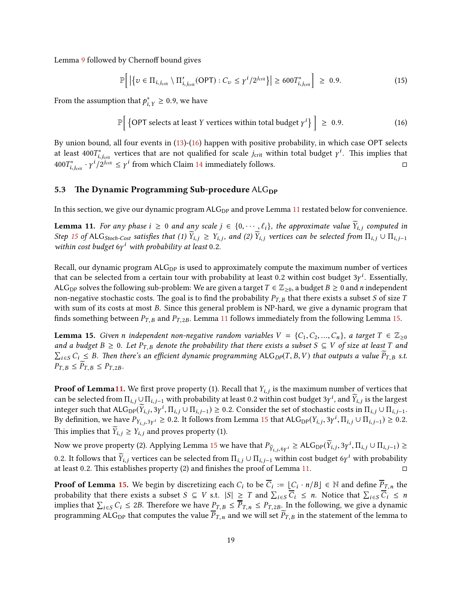Lemma [9](#page-9-1) followed by Chernoff bound gives

<span id="page-19-1"></span>
$$
\mathbb{P}\Big[\left|\left\{v \in \Pi_{i,j_{\text{crit}}} \setminus \Pi'_{i,j_{\text{crit}}}\text{(OPT)} : C_v \leq \gamma^i/2^{j_{\text{crit}}} \right\}\right| \geq 600 T_{i,j_{\text{crit}}}^* \Big] \geq 0.9. \tag{15}
$$

From the assumption that  $p^*_{i, Y} \ge 0.9$ , we have

$$
\mathbb{P}\Big[\left\{\text{OPT selects at least } Y \text{ vertices within total budget } \gamma^i\right\}\Big] \geq 0.9. \tag{16}
$$

By union bound, all four events in [\(13\)](#page-18-3)-[\(16\)](#page-19-1) happen with positive probability, in which case OPT selects at least 400 $T_{i,j_{\rm crit}}^*$  vertices that are not qualified for scale  $j_{\rm crit}$  within total budget  $\gamma^i$ . This implies that 400 $T_{i,j_{\text{crit}}}^*$  ·  $\gamma^{i}/2^{j_{\text{crit}}} \leq \gamma^{i}$  from which Claim [14](#page-18-0) immediately follows.  $\Box$ 

#### <span id="page-19-0"></span>5.3 The Dynamic Programming Sub-procedure  $ALG_{DP}$

In this section, we give our dynamic program  $ALG_{DP}$  and prove Lemma [11](#page-14-0) restated below for convenience.

**Lemma 11.** For any phase  $i \geq 0$  and any scale  $j \in \{0, \dots, \ell_i\}$ , the approximate value  $\widetilde{Y}_{i,j}$  computed in Step [15](#page-15-1) of ALG<sub>Stoch-Cost</sub> satisfies that (1)  $\widetilde{Y}_{i,j} \ge Y_{i,j}$ , and (2)  $\widetilde{Y}_{i,j}$  vertices can be selected from  $\Pi_{i,j} \cup \Pi_{i,j-1}$ within cost budget  $6y<sup>i</sup>$  with probability at least 0.2.

Recall, our dynamic program  $ALG<sub>DP</sub>$  is used to approximately compute the maximum number of vertices that can be selected from a certain tour with probability at least 0.2 within cost budget  $3\gamma^i$ . Essentially, ALG<sub>DP</sub> solves the following sub-problem: We are given a target  $T \in \mathbb{Z}_{\geq 0}$ , a budget  $B \geq 0$  and *n* independent non-negative stochastic costs. The goal is to find the probability  $P_{T,B}$  that there exists a subset S of size T with sum of its costs at most B. Since this general problem is NP-hard, we give a dynamic program that finds something between  $P_{T,B}$  and  $P_{T,2B}$ . Lemma [11](#page-14-0) follows immediately from the following Lemma [15.](#page-19-2)

<span id="page-19-2"></span>**Lemma 15.** Given n independent non-negative random variables  $V = \{C_1, C_2, ..., C_n\}$ , a target  $T \in \mathbb{Z}_{\geq 0}$ and a budget  $B \ge 0$ . Let  $P_{T,B}$  denote the probability that there exists a subset  $S \subseteq V$  of size at least T and  $\sum_{i \in S} C_i$  ≤ B. Then there's an efficient dynamic programming ALG<sub>DP</sub>(T, B, V) that outputs a value  $\widetilde{P}_{T,B}$  s.t.  $P_{T,B} \leq P_{T,B} \leq P_{T,2B}.$ 

**Proof of Lemm[a11.](#page-14-0)** We first prove property (1). Recall that  $Y_{i,j}$  is the maximum number of vertices that can be selected from  $\Pi_{i,j}\cup \Pi_{i,j-1}$  with probability at least 0.2 within cost budget  $3\gamma^i$ , and  $\widetilde Y_{i,j}$  is the largest integer such that  $\mathsf{ALG}_{\mathsf{DP}}(\widetilde{Y}_{i,j},3\gamma^i,\Pi_{i,j}\cup \Pi_{i,j-1})\geq 0.2.$  Consider the set of stochastic costs in  $\Pi_{i,j}\cup \Pi_{i,j-1}.$ By definition, we have  $P_{Y_{i,j},3y_i} \ge 0.2$ . It follows from Lemma [15](#page-19-2) that  $\text{ALG}_{\text{DP}}(Y_{i,j}, 3y^i, \Pi_{i,j} \cup \Pi_{i,j-1}) \ge 0.2$ . This implies that  $\overline{Y}_{i,j} \geq Y_{i,j}$  and proves property (1).

Now we prove property (2). Applying Lemma [15](#page-19-2) we have that  $P_{\widetilde{Y}_{i,j},6\gamma^i} \geq \mathsf{ALG}_{\mathsf{DP}}(\widetilde{Y}_{i,j}, 3\gamma^i, \Pi_{i,j} \cup \Pi_{i,j-1}) \geq 0$ 0.2. It follows that  $\widetilde{Y}_{i,j}$  vertices can be selected from  $\Pi_{i,j}\cup\Pi_{i,j-1}$  within cost budget 6 $\gamma^i$  with probability at least 0.2. This establishes property (2) and finishes the proof of Lemma [11.](#page-14-0)

**Proof of Lemma [15.](#page-19-2)** We begin by discretizing each  $C_i$  to be  $\overline{C}_i := \underline{C}_i \cdot n/B \subseteq \mathbb{N}$  and define  $\overline{P}_{\overline{I},n}$  the probability that there exists a subset  $S \subseteq V$  s.t.  $|S| \geq T$  and  $\sum_{i \in S} \overline{C_i} \leq n$ . Notice that  $\sum_{i \in S} \overline{C_i} \leq n$ implies that  $\sum_{i \in S} C_i \le 2B$ . Therefore we have  $P_{T,B} \le \overline{P}_{T,n} \le P_{T,2B}$ . In the following, we give a dynamic programming ALG<sub>DP</sub> that computes the value  $\overline{P}_{T,n}$  and we will set  $\overline{P}_{T,B}$  in the statement of the lemma to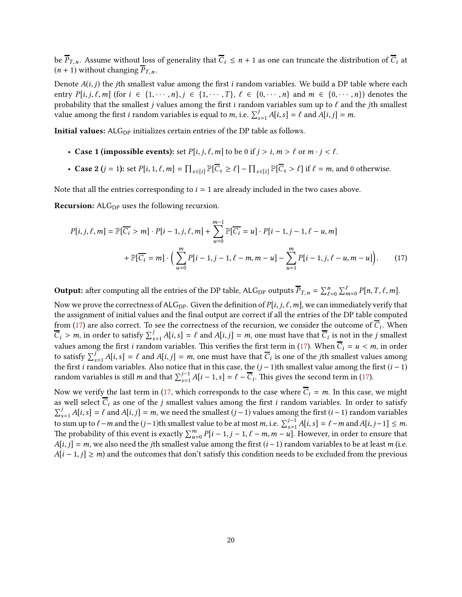be  $\overline{P}_{T,n}$ . Assume without loss of generality that  $\overline{C}_i \leq n+1$  as one can truncate the distribution of  $\overline{C}_i$  at  $(n + 1)$  without changing  $\overline{P}_{T,n}$ .

Denote  $A(i, j)$  the *j*th smallest value among the first i random variables. We build a DP table where each entry  $P[i, j, \ell, m]$  (for  $i \in \{1, \cdots, n\}$ ,  $j \in \{1, \cdots, T\}$ ,  $\ell \in \{0, \cdots, n\}$  and  $m \in \{0, \cdots, n\}$ ) denotes the probability that the smallest j values among the first i random variables sum up to  $\ell$  and the jth smallest value among the first *i* random variables is equal to *m*, i.e.  $\sum_{s=1}^{j} A[i, s] = \ell$  and  $A[i, j] = m$ .

Initial values:  $ALG<sub>DP</sub>$  initializes certain entries of the DP table as follows.

- Case 1 (impossible events): set  $P[i, j, \ell, m]$  to be 0 if  $j > i, m > \ell$  or  $m \cdot j < \ell$ .
- Case 2  $(j = 1)$ : set  $P[i, 1, \ell, m] = \prod_{s \in [i]} \mathbb{P}[\overline{C}_s \ge \ell] \prod_{s \in [i]} \mathbb{P}[\overline{C}_s > \ell]$  if  $\ell = m$ , and 0 otherwise.

Note that all the entries corresponding to  $i = 1$  are already included in the two cases above.

Recursion: ALG<sub>DP</sub> uses the following recursion.

<span id="page-20-0"></span>
$$
P[i, j, \ell, m] = \mathbb{P}[\overline{C_i} > m] \cdot P[i-1, j, \ell, m] + \sum_{u=0}^{m-1} \mathbb{P}[\overline{C_i} = u] \cdot P[i-1, j-1, \ell-u, m]
$$

$$
+ \mathbb{P}[\overline{C_i} = m] \cdot \left( \sum_{u=0}^{m} P[i-1, j-1, \ell-m, m-u] - \sum_{u=1}^{m} P[i-1, j, \ell-u, m-u] \right). \tag{17}
$$

**Output:** after computing all the entries of the DP table, ALG<sub>DP</sub> outputs  $\overline{P}_{T,n} = \sum_{\ell=0}^{n} \sum_{m=0}^{\ell} P[n,T,\ell,m].$ 

Now we prove the correctness of ALG<sub>DP</sub>. Given the definition of  $P[i, j, \ell, m]$ , we can immediately verify that the assignment of initial values and the final output are correct if all the entries of the DP table computed from [\(17\)](#page-20-0) are also correct. To see the correctness of the recursion, we consider the outcome of  $C_i$ . When  $\overline{C}_i > m$ , in order to satisfy  $\sum_{s=1}^{j} A[i, s] = \ell$  and  $A[i, j] = m$ , one must have that  $\overline{C}_i$  is not in the j smallest values among the first *i* random variables. This verifies the first term in [\(17\)](#page-20-0). When  $\overline{C}_i = u < m$ , in order to satisfy  $\sum_{s=1}^{j} A[i, s] = \ell$  and  $A[i, j] = m$ , one must have that  $\overline{C}_i$  is one of the *j*th smallest values among the first *i* random variables. Also notice that in this case, the  $(j - 1)$ th smallest value among the first  $(i - 1)$ random variables is still *m* and that  $\sum_{s=1}^{j-1} A[i-1, s] = \ell - \overline{C}_i$ . This gives the second term in [\(17\)](#page-20-0).

Now we verify the last term in [\(17,](#page-20-0) which corresponds to the case where  $\overline{C}_i = m$ . In this case, we might as well select  $\overline{C}_i$  as one of the j smallest values among the first i random variables. In order to satisfy  $\sum_{s=1}^{j} A[i,s] = \ell$  and  $A[i,j] = m$ , we need the smallest  $(j-1)$  values among the first  $(i-1)$  random variables to sum up to  $\ell-m$  and the  $(j-1)$ th smallest value to be at most m, i.e.  $\sum_{s=1}^{j-1} A[i,s] = \ell-m$  and  $A[i,j-1] \leq m$ . The probability of this event is exactly  $\sum_{u=0}^{m} P[i-1, j-1, \ell-m, m-u]$ . However, in order to ensure that  $A[i, j] = m$ , we also need the jth smallest value among the first  $(i - 1)$  random variables to be at least m (i.e.  $A[i-1,j] \geq m$ ) and the outcomes that don't satisfy this condition needs to be excluded from the previous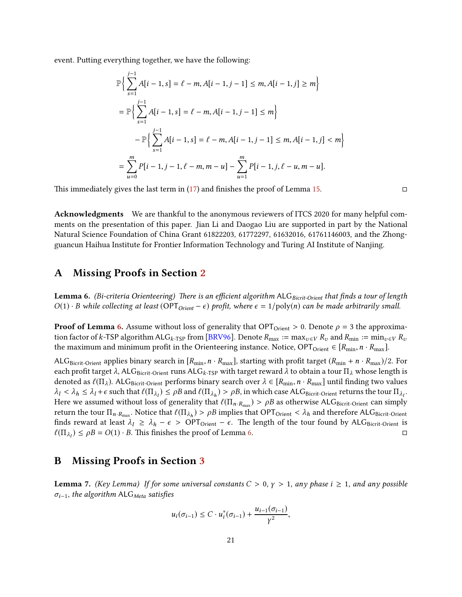event. Putting everything together, we have the following:

$$
\mathbb{P}\Big\{\sum_{s=1}^{j-1} A[i-1, s] = \ell - m, A[i-1, j-1] \le m, A[i-1, j] \ge m\Big\}
$$
  
= 
$$
\mathbb{P}\Big\{\sum_{s=1}^{j-1} A[i-1, s] = \ell - m, A[i-1, j-1] \le m\Big\}
$$
  

$$
- \mathbb{P}\Big\{\sum_{s=1}^{j-1} A[i-1, s] = \ell - m, A[i-1, j-1] \le m, A[i-1, j] < m\Big\}
$$
  
= 
$$
\sum_{u=0}^{m} P[i-1, j-1, \ell - m, m-u] - \sum_{u=1}^{m} P[i-1, j, \ell - u, m-u].
$$

This immediately gives the last term in  $(17)$  and finishes the proof of Lemma [15.](#page-19-2)

Acknowledgments We are thankful to the anonymous reviewers of ITCS 2020 for many helpful comments on the presentation of this paper. Jian Li and Daogao Liu are supported in part by the National Natural Science Foundation of China Grant 61822203, 61772297, 61632016, 61761146003, and the Zhongguancun Haihua Institute for Frontier Information Technology and Turing AI Institute of Nanjing.

## A Missing Proofs in Section [2](#page-5-0)

**Lemma 6.** (Bi-criteria Orienteering) There is an efficient algorithm ALG  $_{Bicrit-Orient}$  that finds a tour of length  $O(1) \cdot B$  while collecting at least (OPT<sub>Orient</sub> –  $\epsilon$ ) profit, where  $\epsilon = 1/\text{poly}(n)$  can be made arbitrarily small.

**Proof of Lemma [6.](#page-6-3)** Assume without loss of generality that  $OPT_{Orient} > 0$ . Denote  $\rho = 3$  the approxima-tion factor of k-TSP algorithm ALG<sub>k-TSP</sub> from [\[BRV96\]](#page-23-2). Denote  $R_{\text{max}} := \max_{v \in V} R_v$  and  $R_{\text{min}} := \min_{v \in V} R_v$ the maximum and minimum profit in the Orienteering instance. Notice, OPT<sub>Orient</sub> ∈ [ $R_{min}$ ,  $n \cdot R_{max}$ ].

ALG<sub>Bicrit-Orient</sub> applies binary search in  $[R_{min}, n \cdot R_{max}]$ , starting with profit target  $(R_{min} + n \cdot R_{max})/2$ . For each profit target  $\lambda$ , ALG<sub>Bicrit-Orient</sub> runs ALG<sub>k-TSP</sub> with target reward  $\lambda$  to obtain a tour  $\Pi_\lambda$  whose length is denoted as  $\ell(\Pi_{\lambda})$ . ALG<sub>Bicrit-Orient</sub> performs binary search over  $\lambda \in [R_{\min}, n \cdot R_{\max}]$  until finding two values  $\lambda_l < \lambda_h \leq \lambda_l + \epsilon$  such that  $\ell(\Pi_{\lambda_l}) \leq \rho B$  and  $\ell(\Pi_{\lambda_h}) > \rho B$ , in which case ALG<sub>Bicrit-Orient</sub> returns the tour  $\Pi_{\lambda_l}$ . Here we assumed without loss of generality that  $\ell(\Pi_{n\cdot R_{\max}}) > \rho B$  as otherwise ALG<sub>Bicrit-Orient</sub> can simply return the tour  $\Pi_{n \cdot R_{\max}}$ . Notice that  $\ell(\Pi_{\lambda_h}) > \rho B$  implies that OPT $_{\text{Orient}} < \lambda_h$  and therefore ALG $_{\text{Bicrit-Orient}}$ finds reward at least  $\lambda_l \ge \lambda_h - \epsilon > \text{OPT}_{\text{Orient}} - \epsilon$ . The length of the tour found by ALG<sub>Bicrit-Orient</sub> is  $\ell(\Pi_{\lambda_l}) \le \rho B = O(1) \cdot B$ . This finishes the proof of Lemma [6.](#page-6-3)

## <span id="page-21-0"></span>B Missing Proofs in Section [3](#page-6-0)

**Lemma 7.** (Key Lemma) If for some universal constants  $C > 0$ ,  $\gamma > 1$ , any phase  $i \ge 1$ , and any possible  $\sigma_{i-1}$ , the algorithm ALG<sub>Meta</sub> satisfies

$$
u_i(\sigma_{i-1}) \leq C \cdot u_i^*(\sigma_{i-1}) + \frac{u_{i-1}(\sigma_{i-1})}{\gamma^2},
$$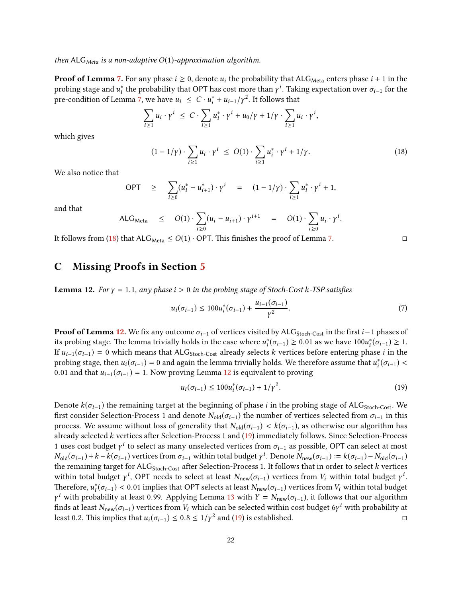#### then ALG<sub>Meta</sub> is a non-adaptive  $O(1)$ -approximation algorithm.

**Proof of Lemma [7.](#page-7-2)** For any phase  $i \ge 0$ , denote  $u_i$  the probability that ALG<sub>Meta</sub> enters phase  $i + 1$  in the probing stage and  $u_i^*$  the probability that OPT has cost more than  $\gamma^i$ . Taking expectation over  $\sigma_{i-1}$  for the pre-condition of Lemma [7,](#page-7-2) we have  $u_i \leq C \cdot u_i^* + u_{i-1}/\gamma^2$ . It follows that

$$
\sum_{i\geq 1} u_i \cdot \gamma^i \leq C \cdot \sum_{i\geq 1} u_i^* \cdot \gamma^i + u_0/\gamma + 1/\gamma \cdot \sum_{i\geq 1} u_i \cdot \gamma^i,
$$

which gives

$$
(1 - 1/\gamma) \cdot \sum_{i \ge 1} u_i \cdot \gamma^i \le O(1) \cdot \sum_{i \ge 1} u_i^* \cdot \gamma^i + 1/\gamma. \tag{18}
$$

We also notice that

$$
\text{OPT} \quad \geq \quad \sum_{i \geq 0} (u_i^* - u_{i+1}^*) \cdot \gamma^i \quad = \quad (1 - 1/\gamma) \cdot \sum_{i \geq 1} u_i^* \cdot \gamma^i + 1,
$$

and that

ALG<sub>Meta</sub> 
$$
\leq O(1) \cdot \sum_{i \geq 0} (u_i - u_{i+1}) \cdot \gamma^{i+1} = O(1) \cdot \sum_{i \geq 0} u_i \cdot \gamma^i
$$
.

<span id="page-22-0"></span>It follows from [\(18\)](#page-22-2) that  $ALG_{Meta} \leq O(1) \cdot OPT$ . This finishes the proof of Lemma [7.](#page-7-2)

## C Missing Proofs in Section [5](#page-13-0)

**Lemma 12.** For  $\gamma = 1.1$ , any phase  $i > 0$  in the probing stage of Stoch-Cost k-TSP satisfies

$$
u_i(\sigma_{i-1}) \le 100u_i^*(\sigma_{i-1}) + \frac{u_{i-1}(\sigma_{i-1})}{\gamma^2}.
$$
\n<sup>(7)</sup>

**Proof of Lemma [12.](#page-14-1)** We fix any outcome  $\sigma_{i-1}$  of vertices visited by ALG<sub>Stoch-Cost</sub> in the first  $i-1$  phases of its probing stage. The lemma trivially holds in the case where  $u_i^*(\sigma_{i-1}) \ge 0.01$  as we have  $100u_i^*(\sigma_{i-1}) \ge 1$ . If  $u_{i-1}(\sigma_{i-1}) = 0$  which means that ALG<sub>Stoch-Cost</sub> already selects k vertices before entering phase i in the probing stage, then  $u_i(\sigma_{i-1}) = 0$  and again the lemma trivially holds. We therefore assume that  $u_i^*(\sigma_{i-1})$  < 0.01 and that  $u_{i-1}(\sigma_{i-1}) = 1$ . Now proving Lemma [12](#page-14-1) is equivalent to proving

$$
u_i(\sigma_{i-1}) \le 100 u_i^*(\sigma_{i-1}) + 1/\gamma^2.
$$
\n(19)

Denote  $k(\sigma_{i-1})$  the remaining target at the beginning of phase *i* in the probing stage of ALG<sub>Stoch-Cost</sub>. We first consider Selection-Process 1 and denote  $N_{old}(\sigma_{i-1})$  the number of vertices selected from  $\sigma_{i-1}$  in this process. We assume without loss of generality that  $N_{old}(\sigma_{i-1}) < k(\sigma_{i-1})$ , as otherwise our algorithm has already selected  $k$  vertices after Selection-Process 1 and [\(19\)](#page-22-1) immediately follows. Since Selection-Process 1 uses cost budget  $\gamma^i$  to select as many unselected vertices from  $\sigma_{i-1}$  as possible, OPT can select at most  $N_{\text{old}}(\sigma_{i-1}) + k - k(\sigma_{i-1})$  vertices from  $\sigma_{i-1}$  within total budget  $\gamma^i$ . Denote  $N_{\text{new}}(\sigma_{i-1}) = k(\sigma_{i-1}) - N_{\text{old}}(\sigma_{i-1})$ the remaining target for  $ALG_{Stoch-Cost}$  after Selection-Process 1. It follows that in order to select  $k$  vertices within total budget  $\gamma^i$ , OPT needs to select at least  $N_{\text{new}}(\sigma_{i-1})$  vertices from  $V_i$  within total budget  $\gamma^i$ . Therefore,  $u_i^*(\sigma_{i-1}) < 0.01$  implies that OPT selects at least  $N_{\text{new}}(\sigma_{i-1})$  vertices from  $V_i$  within total budget  $\gamma^i$  with probability at least 0.99. Applying Lemma [13](#page-16-0) with  $Y = N_{\text{new}}(\sigma_{i-1})$ , it follows that our algorithm finds at least  $N_{\text{new}}(\sigma_{i-1})$  vertices from  $V_i$  which can be selected within cost budget 6 $\gamma^i$  with probability at least 0.2. This implies that  $u_i(\sigma_{i-1}) \le 0.8 \le 1/\gamma^2$  and [\(19\)](#page-22-1) is established.  $□$ 

<span id="page-22-2"></span><span id="page-22-1"></span>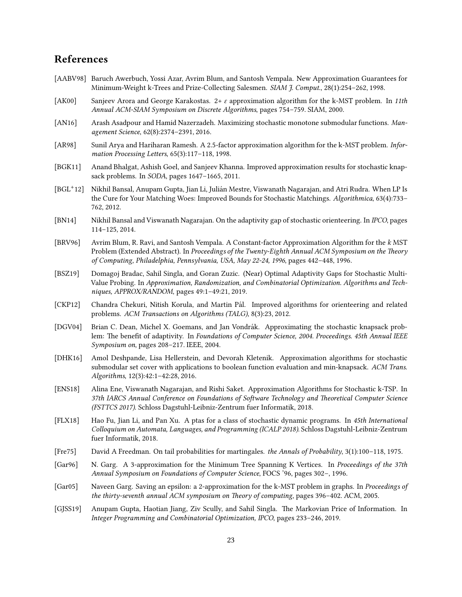## References

- <span id="page-23-1"></span>[AABV98] Baruch Awerbuch, Yossi Azar, Avrim Blum, and Santosh Vempala. New Approximation Guarantees for Minimum-Weight k-Trees and Prize-Collecting Salesmen. SIAM J. Comput., 28(1):254–262, 1998.
- <span id="page-23-5"></span>[AK00] Sanjeev Arora and George Karakostas. 2+ ε approximation algorithm for the k-MST problem. In 11th Annual ACM-SIAM Symposium on Discrete Algorithms, pages 754–759. SIAM, 2000.
- <span id="page-23-10"></span>[AN16] Arash Asadpour and Hamid Nazerzadeh. Maximizing stochastic monotone submodular functions. Management Science, 62(8):2374–2391, 2016.
- <span id="page-23-4"></span>[AR98] Sunil Arya and Hariharan Ramesh. A 2.5-factor approximation algorithm for the k-MST problem. Information Processing Letters, 65(3):117-118, 1998.
- <span id="page-23-16"></span>[BGK11] Anand Bhalgat, Ashish Goel, and Sanjeev Khanna. Improved approximation results for stochastic knapsack problems. In SODA, pages 1647–1665, 2011.
- <span id="page-23-8"></span> $[BGL^+12]$ 12] Nikhil Bansal, Anupam Gupta, Jian Li, Julian Mestre, Viswanath Nagarajan, and Atri Rudra. When LP Is ´ the Cure for Your Matching Woes: Improved Bounds for Stochastic Matchings. Algorithmica, 63(4):733– 762, 2012.
- <span id="page-23-9"></span>[BN14] Nikhil Bansal and Viswanath Nagarajan. On the adaptivity gap of stochastic orienteering. In IPCO, pages 114–125, 2014.
- <span id="page-23-2"></span>[BRV96] Avrim Blum, R. Ravi, and Santosh Vempala. A Constant-factor Approximation Algorithm for the k MST Problem (Extended Abstract). In Proceedings of the Twenty-Eighth Annual ACM Symposium on the Theory of Computing, Philadelphia, Pennsylvania, USA, May 22-24, 1996, pages 442–448, 1996.
- <span id="page-23-12"></span>[BSZ19] Domagoj Bradac, Sahil Singla, and Goran Zuzic. (Near) Optimal Adaptivity Gaps for Stochastic Multi-Value Probing. In Approximation, Randomization, and Combinatorial Optimization. Algorithms and Techniques, APPROX/RANDOM, pages 49:1–49:21, 2019.
- <span id="page-23-17"></span>[CKP12] Chandra Chekuri, Nitish Korula, and Martin Pál. Improved algorithms for orienteering and related problems. ACM Transactions on Algorithms (TALG), 8(3):23, 2012.
- <span id="page-23-7"></span>[DGV04] Brian C. Dean, Michel X. Goemans, and Jan Vondrák. Approximating the stochastic knapsack problem: The benefit of adaptivity. In Foundations of Computer Science, 2004. Proceedings. 45th Annual IEEE Symposium on, pages 208–217. IEEE, 2004.
- <span id="page-23-14"></span>[DHK16] Amol Deshpande, Lisa Hellerstein, and Devorah Kletenik. Approximation algorithms for stochastic submodular set cover with applications to boolean function evaluation and min-knapsack. ACM Trans. Algorithms, 12(3):42:1–42:28, 2016.
- <span id="page-23-0"></span>[ENS18] Alina Ene, Viswanath Nagarajan, and Rishi Saket. Approximation Algorithms for Stochastic k-TSP. In 37th IARCS Annual Conference on Foundations of Software Technology and Theoretical Computer Science (FSTTCS 2017). Schloss Dagstuhl-Leibniz-Zentrum fuer Informatik, 2018.
- <span id="page-23-11"></span>[FLX18] Hao Fu, Jian Li, and Pan Xu. A ptas for a class of stochastic dynamic programs. In 45th International Colloquium on Automata, Languages, and Programming (ICALP 2018). Schloss Dagstuhl-Leibniz-Zentrum fuer Informatik, 2018.
- <span id="page-23-15"></span>[Fre75] David A Freedman. On tail probabilities for martingales. the Annals of Probability, 3(1):100–118, 1975.
- <span id="page-23-3"></span>[Gar96] N. Garg. A 3-approximation for the Minimum Tree Spanning K Vertices. In Proceedings of the 37th Annual Symposium on Foundations of Computer Science, FOCS '96, pages 302–, 1996.
- <span id="page-23-6"></span>[Gar05] Naveen Garg. Saving an epsilon: a 2-approximation for the k-MST problem in graphs. In Proceedings of the thirty-seventh annual ACM symposium on Theory of computing, pages 396-402. ACM, 2005.
- <span id="page-23-13"></span>[GJSS19] Anupam Gupta, Haotian Jiang, Ziv Scully, and Sahil Singla. The Markovian Price of Information. In Integer Programming and Combinatorial Optimization, IPCO, pages 233–246, 2019.